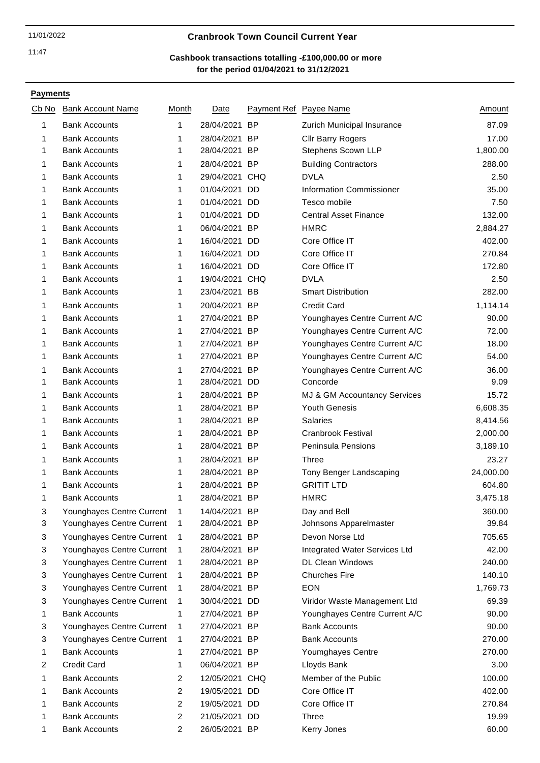### 11/01/2022 **Cranbrook Town Council Current Year**

# **for the period 01/04/2021 to 31/12/2021 Cashbook transactions totalling -£100,000.00 or more**

| Cb No | <b>Bank Account Name</b>  | Month          | Date           | Payment Ref Payee Name |                                              | Amount          |
|-------|---------------------------|----------------|----------------|------------------------|----------------------------------------------|-----------------|
| 1     | <b>Bank Accounts</b>      | 1              | 28/04/2021     | <b>BP</b>              | Zurich Municipal Insurance                   | 87.09           |
| 1     | <b>Bank Accounts</b>      | 1              | 28/04/2021     | <b>BP</b>              | <b>Cllr Barry Rogers</b>                     | 17.00           |
| 1     | <b>Bank Accounts</b>      | 1              | 28/04/2021 BP  |                        | Stephens Scown LLP                           | 1,800.00        |
| 1     | <b>Bank Accounts</b>      | 1              | 28/04/2021 BP  |                        | <b>Building Contractors</b>                  | 288.00          |
| 1     | <b>Bank Accounts</b>      | 1              | 29/04/2021 CHQ |                        | <b>DVLA</b>                                  | 2.50            |
| 1     | <b>Bank Accounts</b>      | 1              | 01/04/2021 DD  |                        | Information Commissioner                     | 35.00           |
| 1     | <b>Bank Accounts</b>      | 1              | 01/04/2021 DD  |                        | Tesco mobile                                 | 7.50            |
| 1     | <b>Bank Accounts</b>      | 1              | 01/04/2021 DD  |                        | <b>Central Asset Finance</b>                 | 132.00          |
| 1     | <b>Bank Accounts</b>      | 1              | 06/04/2021 BP  |                        | <b>HMRC</b>                                  | 2,884.27        |
| 1     | <b>Bank Accounts</b>      | 1              | 16/04/2021 DD  |                        | Core Office IT                               | 402.00          |
| 1     | <b>Bank Accounts</b>      | 1              | 16/04/2021 DD  |                        | Core Office IT                               | 270.84          |
| 1     | <b>Bank Accounts</b>      | 1              | 16/04/2021 DD  |                        | Core Office IT                               | 172.80          |
| 1     | <b>Bank Accounts</b>      | 1              | 19/04/2021 CHQ |                        | <b>DVLA</b>                                  | 2.50            |
| 1     | <b>Bank Accounts</b>      | 1              | 23/04/2021 BB  |                        | <b>Smart Distribution</b>                    | 282.00          |
| 1     | <b>Bank Accounts</b>      | 1              | 20/04/2021 BP  |                        | <b>Credit Card</b>                           | 1,114.14        |
| 1     | <b>Bank Accounts</b>      | 1              | 27/04/2021 BP  |                        | Younghayes Centre Current A/C                | 90.00           |
| 1     | <b>Bank Accounts</b>      | 1              | 27/04/2021 BP  |                        | Younghayes Centre Current A/C                | 72.00           |
| 1     | <b>Bank Accounts</b>      | 1              | 27/04/2021 BP  |                        | Younghayes Centre Current A/C                | 18.00           |
| 1     | <b>Bank Accounts</b>      | 1              | 27/04/2021 BP  |                        | Younghayes Centre Current A/C                | 54.00           |
| 1     | <b>Bank Accounts</b>      | 1              | 27/04/2021 BP  |                        | Younghayes Centre Current A/C                | 36.00           |
| 1     | <b>Bank Accounts</b>      | 1              | 28/04/2021 DD  |                        | Concorde                                     | 9.09            |
| 1     | <b>Bank Accounts</b>      | 1              | 28/04/2021 BP  |                        | MJ & GM Accountancy Services                 | 15.72           |
| 1     | <b>Bank Accounts</b>      | 1              | 28/04/2021 BP  |                        | <b>Youth Genesis</b>                         | 6,608.35        |
| 1     | <b>Bank Accounts</b>      | 1              | 28/04/2021 BP  |                        | <b>Salaries</b>                              | 8,414.56        |
| 1     | <b>Bank Accounts</b>      | 1              | 28/04/2021 BP  |                        | <b>Cranbrook Festival</b>                    | 2,000.00        |
| 1     | <b>Bank Accounts</b>      | 1              | 28/04/2021 BP  |                        | Peninsula Pensions                           | 3,189.10        |
| 1     | <b>Bank Accounts</b>      | 1              | 28/04/2021 BP  |                        | Three                                        | 23.27           |
| 1     | <b>Bank Accounts</b>      | 1              | 28/04/2021 BP  |                        | Tony Benger Landscaping                      | 24,000.00       |
| 1     | <b>Bank Accounts</b>      | 1              | 28/04/2021 BP  |                        | <b>GRITIT LTD</b>                            | 604.80          |
| 1     | <b>Bank Accounts</b>      | 1              | 28/04/2021 BP  |                        | <b>HMRC</b>                                  | 3,475.18        |
| 3     | Younghayes Centre Current | 1              | 14/04/2021 BP  |                        | Day and Bell                                 | 360.00          |
| 3     | Younghayes Centre Current | 1              | 28/04/2021 BP  |                        | Johnsons Apparelmaster                       | 39.84           |
| 3     | Younghayes Centre Current | 1              | 28/04/2021 BP  |                        | Devon Norse Ltd                              | 705.65          |
| 3     | Younghayes Centre Current | 1              | 28/04/2021 BP  |                        | Integrated Water Services Ltd                | 42.00           |
| 3     | Younghayes Centre Current | 1              | 28/04/2021 BP  |                        | <b>DL Clean Windows</b>                      | 240.00          |
| 3     | Younghayes Centre Current | 1              | 28/04/2021 BP  |                        | <b>Churches Fire</b>                         | 140.10          |
| 3     | Younghayes Centre Current | 1              | 28/04/2021 BP  |                        | <b>EON</b>                                   | 1,769.73        |
|       |                           |                | 30/04/2021 DD  |                        |                                              | 69.39           |
| 3     | Younghayes Centre Current | 1              | 27/04/2021 BP  |                        | Viridor Waste Management Ltd                 |                 |
| 1     | <b>Bank Accounts</b>      | 1              |                |                        | Younghayes Centre Current A/C                | 90.00           |
| 3     | Younghayes Centre Current | 1              | 27/04/2021 BP  |                        | <b>Bank Accounts</b><br><b>Bank Accounts</b> | 90.00<br>270.00 |
| 3     | Younghayes Centre Current | 1              | 27/04/2021 BP  |                        |                                              |                 |
| 1     | <b>Bank Accounts</b>      | 1<br>1         | 27/04/2021 BP  |                        | Youmghayes Centre                            | 270.00          |
| 2     | <b>Credit Card</b>        |                | 06/04/2021 BP  |                        | Lloyds Bank                                  | 3.00            |
| 1     | <b>Bank Accounts</b>      | $\overline{2}$ | 12/05/2021 CHQ |                        | Member of the Public                         | 100.00          |
| 1     | <b>Bank Accounts</b>      | 2              | 19/05/2021 DD  |                        | Core Office IT                               | 402.00          |
| 1     | <b>Bank Accounts</b>      | 2              | 19/05/2021 DD  |                        | Core Office IT                               | 270.84          |
| 1     | <b>Bank Accounts</b>      | 2              | 21/05/2021 DD  |                        | Three                                        | 19.99           |
| 1     | <b>Bank Accounts</b>      | 2              | 26/05/2021 BP  |                        | Kerry Jones                                  | 60.00           |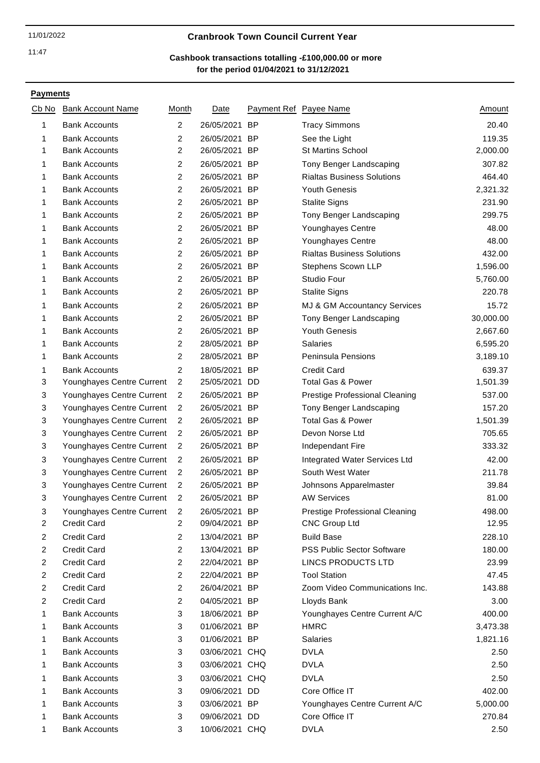### 11/01/2022 **Cranbrook Town Council Current Year**

# **for the period 01/04/2021 to 31/12/2021 Cashbook transactions totalling -£100,000.00 or more**

| Cb No                   | <b>Bank Account Name</b>  | Month          | Date           | Payment Ref Payee Name                | <u>Amount</u> |
|-------------------------|---------------------------|----------------|----------------|---------------------------------------|---------------|
| 1                       | <b>Bank Accounts</b>      | $\overline{2}$ | 26/05/2021 BP  | <b>Tracy Simmons</b>                  | 20.40         |
| 1                       | <b>Bank Accounts</b>      | 2              | 26/05/2021 BP  | See the Light                         | 119.35        |
| 1                       | <b>Bank Accounts</b>      | 2              | 26/05/2021 BP  | <b>St Martins School</b>              | 2,000.00      |
| 1                       | <b>Bank Accounts</b>      | $\overline{2}$ | 26/05/2021 BP  | Tony Benger Landscaping               | 307.82        |
| 1                       | <b>Bank Accounts</b>      | 2              | 26/05/2021 BP  | <b>Rialtas Business Solutions</b>     | 464.40        |
| 1                       | <b>Bank Accounts</b>      | 2              | 26/05/2021 BP  | <b>Youth Genesis</b>                  | 2,321.32      |
| 1                       | <b>Bank Accounts</b>      | $\overline{2}$ | 26/05/2021 BP  | <b>Stalite Signs</b>                  | 231.90        |
| 1                       | <b>Bank Accounts</b>      | 2              | 26/05/2021 BP  | Tony Benger Landscaping               | 299.75        |
| 1                       | <b>Bank Accounts</b>      | 2              | 26/05/2021 BP  | Younghayes Centre                     | 48.00         |
| 1                       | <b>Bank Accounts</b>      | $\overline{2}$ | 26/05/2021 BP  | Younghayes Centre                     | 48.00         |
| 1                       | <b>Bank Accounts</b>      | 2              | 26/05/2021 BP  | <b>Rialtas Business Solutions</b>     | 432.00        |
| 1                       | <b>Bank Accounts</b>      | 2              | 26/05/2021 BP  | Stephens Scown LLP                    | 1,596.00      |
| 1                       | <b>Bank Accounts</b>      | $\overline{2}$ | 26/05/2021 BP  | Studio Four                           | 5,760.00      |
| 1                       | <b>Bank Accounts</b>      | $\overline{c}$ | 26/05/2021 BP  | <b>Stalite Signs</b>                  | 220.78        |
| 1                       | <b>Bank Accounts</b>      | $\overline{2}$ | 26/05/2021 BP  | MJ & GM Accountancy Services          | 15.72         |
| 1                       | <b>Bank Accounts</b>      | 2              | 26/05/2021 BP  | Tony Benger Landscaping               | 30,000.00     |
| 1                       | <b>Bank Accounts</b>      | 2              | 26/05/2021 BP  | <b>Youth Genesis</b>                  | 2,667.60      |
| 1                       | <b>Bank Accounts</b>      | $\overline{2}$ | 28/05/2021 BP  | <b>Salaries</b>                       | 6,595.20      |
| 1                       | <b>Bank Accounts</b>      | 2              | 28/05/2021 BP  | Peninsula Pensions                    | 3,189.10      |
| 1                       | <b>Bank Accounts</b>      | 2              | 18/05/2021 BP  | <b>Credit Card</b>                    | 639.37        |
| 3                       | Younghayes Centre Current | $\overline{2}$ | 25/05/2021 DD  | <b>Total Gas &amp; Power</b>          | 1,501.39      |
| 3                       | Younghayes Centre Current | 2              | 26/05/2021 BP  | Prestige Professional Cleaning        | 537.00        |
| 3                       | Younghayes Centre Current | 2              | 26/05/2021 BP  | Tony Benger Landscaping               | 157.20        |
| 3                       | Younghayes Centre Current | $\overline{2}$ | 26/05/2021 BP  | <b>Total Gas &amp; Power</b>          | 1,501.39      |
| 3                       | Younghayes Centre Current | 2              | 26/05/2021 BP  | Devon Norse Ltd                       | 705.65        |
| 3                       | Younghayes Centre Current | $\overline{2}$ | 26/05/2021 BP  | Independant Fire                      | 333.32        |
| 3                       | Younghayes Centre Current | $\overline{2}$ | 26/05/2021 BP  | Integrated Water Services Ltd         | 42.00         |
| 3                       | Younghayes Centre Current | 2              | 26/05/2021 BP  | South West Water                      | 211.78        |
| 3                       | Younghayes Centre Current | $\overline{2}$ | 26/05/2021 BP  | Johnsons Apparelmaster                | 39.84         |
| 3                       | Younghayes Centre Current | $\overline{2}$ | 26/05/2021 BP  | <b>AW Services</b>                    | 81.00         |
| 3                       | Younghayes Centre Current | $\overline{c}$ | 26/05/2021 BP  | <b>Prestige Professional Cleaning</b> | 498.00        |
| 2                       | <b>Credit Card</b>        | 2              | 09/04/2021 BP  | <b>CNC Group Ltd</b>                  | 12.95         |
| $\overline{c}$          | <b>Credit Card</b>        | $\overline{2}$ | 13/04/2021 BP  | <b>Build Base</b>                     | 228.10        |
| $\overline{c}$          | <b>Credit Card</b>        | 2              | 13/04/2021 BP  | <b>PSS Public Sector Software</b>     | 180.00        |
| $\overline{2}$          | <b>Credit Card</b>        | $\overline{2}$ | 22/04/2021 BP  | LINCS PRODUCTS LTD                    | 23.99         |
| $\overline{\mathbf{c}}$ | <b>Credit Card</b>        | $\overline{c}$ | 22/04/2021 BP  | <b>Tool Station</b>                   | 47.45         |
| 2                       | <b>Credit Card</b>        | 2              | 26/04/2021 BP  | Zoom Video Communications Inc.        | 143.88        |
| $\overline{2}$          | <b>Credit Card</b>        | 2              | 04/05/2021 BP  | Lloyds Bank                           | 3.00          |
| 1                       | <b>Bank Accounts</b>      | 3              | 18/06/2021 BP  | Younghayes Centre Current A/C         | 400.00        |
| 1                       | <b>Bank Accounts</b>      | 3              | 01/06/2021 BP  | <b>HMRC</b>                           | 3,473.38      |
| 1                       | <b>Bank Accounts</b>      | 3              | 01/06/2021 BP  | <b>Salaries</b>                       | 1,821.16      |
| 1                       | <b>Bank Accounts</b>      | 3              | 03/06/2021 CHQ | <b>DVLA</b>                           | 2.50          |
| 1                       | <b>Bank Accounts</b>      | 3              | 03/06/2021 CHQ | <b>DVLA</b>                           | 2.50          |
| 1                       | <b>Bank Accounts</b>      | 3              | 03/06/2021 CHQ | <b>DVLA</b>                           | 2.50          |
| 1                       | <b>Bank Accounts</b>      | 3              | 09/06/2021 DD  | Core Office IT                        | 402.00        |
| 1                       | <b>Bank Accounts</b>      | 3              | 03/06/2021 BP  | Younghayes Centre Current A/C         | 5,000.00      |
| 1                       | <b>Bank Accounts</b>      | 3              | 09/06/2021 DD  | Core Office IT                        | 270.84        |
| 1                       | <b>Bank Accounts</b>      | 3              | 10/06/2021 CHQ | <b>DVLA</b>                           | 2.50          |
|                         |                           |                |                |                                       |               |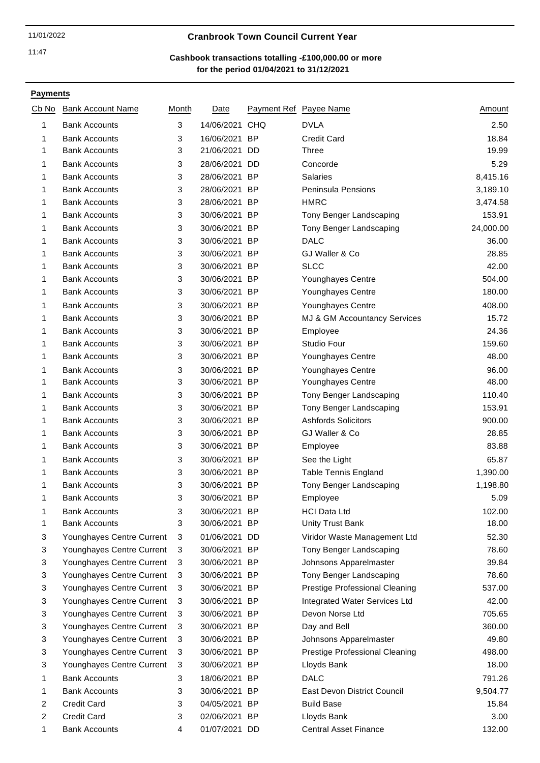### 11/01/2022 **Cranbrook Town Council Current Year**

# **for the period 01/04/2021 to 31/12/2021 Cashbook transactions totalling -£100,000.00 or more**

| Cb No  | <b>Bank Account Name</b>                     | Month  | Date                           |            | Payment Ref Payee Name         | <u>Amount</u>        |
|--------|----------------------------------------------|--------|--------------------------------|------------|--------------------------------|----------------------|
| 1      | <b>Bank Accounts</b>                         | 3      | 14/06/2021                     | <b>CHQ</b> | <b>DVLA</b>                    | 2.50                 |
| 1      | <b>Bank Accounts</b>                         | 3      | 16/06/2021 BP                  |            | <b>Credit Card</b>             | 18.84                |
| 1      | <b>Bank Accounts</b>                         | 3      | 21/06/2021                     | DD         | <b>Three</b>                   | 19.99                |
| 1      | <b>Bank Accounts</b>                         | 3      | 28/06/2021 DD                  |            | Concorde                       | 5.29                 |
| 1      | <b>Bank Accounts</b>                         | 3      | 28/06/2021 BP                  |            | <b>Salaries</b>                | 8,415.16             |
| 1      | <b>Bank Accounts</b>                         | 3      | 28/06/2021 BP                  |            | Peninsula Pensions             | 3,189.10             |
| 1      | <b>Bank Accounts</b>                         | 3      | 28/06/2021 BP                  |            | <b>HMRC</b>                    | 3,474.58             |
| 1      | <b>Bank Accounts</b>                         | 3      | 30/06/2021 BP                  |            | Tony Benger Landscaping        | 153.91               |
| 1      | <b>Bank Accounts</b>                         | 3      | 30/06/2021 BP                  |            | Tony Benger Landscaping        | 24,000.00            |
| 1      | <b>Bank Accounts</b>                         | 3      | 30/06/2021 BP                  |            | <b>DALC</b>                    | 36.00                |
| 1      | <b>Bank Accounts</b>                         | 3      | 30/06/2021 BP                  |            | GJ Waller & Co                 | 28.85                |
| 1      | <b>Bank Accounts</b>                         | 3      | 30/06/2021 BP                  |            | <b>SLCC</b>                    | 42.00                |
| 1      | <b>Bank Accounts</b>                         | 3      | 30/06/2021 BP                  |            | Younghayes Centre              | 504.00               |
| 1      | <b>Bank Accounts</b>                         | 3      | 30/06/2021 BP                  |            | Younghayes Centre              | 180.00               |
| 1      | <b>Bank Accounts</b>                         | 3      | 30/06/2021 BP                  |            | Younghayes Centre              | 408.00               |
| 1      | <b>Bank Accounts</b>                         | 3      | 30/06/2021 BP                  |            | MJ & GM Accountancy Services   | 15.72                |
| 1      | <b>Bank Accounts</b>                         | 3      | 30/06/2021 BP                  |            | Employee                       | 24.36                |
| 1      | <b>Bank Accounts</b>                         | 3      | 30/06/2021 BP                  |            | <b>Studio Four</b>             | 159.60               |
| 1      | <b>Bank Accounts</b>                         | 3      | 30/06/2021 BP                  |            | Younghayes Centre              | 48.00                |
| 1      | <b>Bank Accounts</b>                         | 3      | 30/06/2021 BP                  |            | Younghayes Centre              | 96.00                |
| 1      | <b>Bank Accounts</b>                         | 3      | 30/06/2021 BP                  |            | Younghayes Centre              | 48.00                |
| 1      | <b>Bank Accounts</b>                         | 3      | 30/06/2021 BP                  |            | Tony Benger Landscaping        | 110.40               |
| 1      | <b>Bank Accounts</b>                         | 3      | 30/06/2021 BP                  |            | Tony Benger Landscaping        | 153.91               |
| 1      | <b>Bank Accounts</b>                         | 3      | 30/06/2021 BP                  |            | <b>Ashfords Solicitors</b>     | 900.00               |
| 1      | <b>Bank Accounts</b>                         | 3      | 30/06/2021                     | <b>BP</b>  | GJ Waller & Co                 | 28.85                |
| 1      | <b>Bank Accounts</b>                         | 3      | 30/06/2021 BP                  |            | Employee                       | 83.88                |
|        | <b>Bank Accounts</b>                         |        | 30/06/2021 BP                  |            | See the Light                  | 65.87                |
| 1      |                                              | 3      |                                |            |                                |                      |
| 1<br>1 | <b>Bank Accounts</b><br><b>Bank Accounts</b> | 3<br>3 | 30/06/2021 BP<br>30/06/2021 BP |            | <b>Table Tennis England</b>    | 1,390.00<br>1,198.80 |
|        |                                              | 3      | 30/06/2021 BP                  |            | Tony Benger Landscaping        | 5.09                 |
| 1      | <b>Bank Accounts</b>                         |        |                                |            | Employee                       |                      |
| 1      | <b>Bank Accounts</b><br><b>Bank Accounts</b> | 3      | 30/06/2021 BP                  |            | <b>HCI Data Ltd</b>            | 102.00               |
| 1      |                                              | 3      | 30/06/2021 BP                  |            | <b>Unity Trust Bank</b>        | 18.00                |
| 3      | Younghayes Centre Current                    | 3      | 01/06/2021 DD                  |            | Viridor Waste Management Ltd   | 52.30                |
| 3      | Younghayes Centre Current                    | 3      | 30/06/2021 BP                  |            | Tony Benger Landscaping        | 78.60                |
| 3      | Younghayes Centre Current                    | 3      | 30/06/2021 BP                  |            | Johnsons Apparelmaster         | 39.84                |
| 3      | Younghayes Centre Current                    | 3      | 30/06/2021 BP                  |            | Tony Benger Landscaping        | 78.60                |
| 3      | Younghayes Centre Current                    | 3      | 30/06/2021 BP                  |            | Prestige Professional Cleaning | 537.00               |
| 3      | Younghayes Centre Current                    | 3      | 30/06/2021 BP                  |            | Integrated Water Services Ltd  | 42.00                |
| 3      | Younghayes Centre Current                    | 3      | 30/06/2021 BP                  |            | Devon Norse Ltd                | 705.65               |
| 3      | Younghayes Centre Current                    | 3      | 30/06/2021 BP                  |            | Day and Bell                   | 360.00               |
| 3      | Younghayes Centre Current                    | 3      | 30/06/2021 BP                  |            | Johnsons Apparelmaster         | 49.80                |
| 3      | Younghayes Centre Current                    | 3      | 30/06/2021 BP                  |            | Prestige Professional Cleaning | 498.00               |
| 3      | Younghayes Centre Current                    | 3      | 30/06/2021 BP                  |            | Lloyds Bank                    | 18.00                |
| 1      | <b>Bank Accounts</b>                         | 3      | 18/06/2021 BP                  |            | <b>DALC</b>                    | 791.26               |
| 1      | <b>Bank Accounts</b>                         | 3      | 30/06/2021 BP                  |            | East Devon District Council    | 9,504.77             |
| 2      | <b>Credit Card</b>                           | 3      | 04/05/2021 BP                  |            | <b>Build Base</b>              | 15.84                |
| 2      | <b>Credit Card</b>                           | 3      | 02/06/2021 BP                  |            | Lloyds Bank                    | 3.00                 |
| 1      | <b>Bank Accounts</b>                         | 4      | 01/07/2021 DD                  |            | <b>Central Asset Finance</b>   | 132.00               |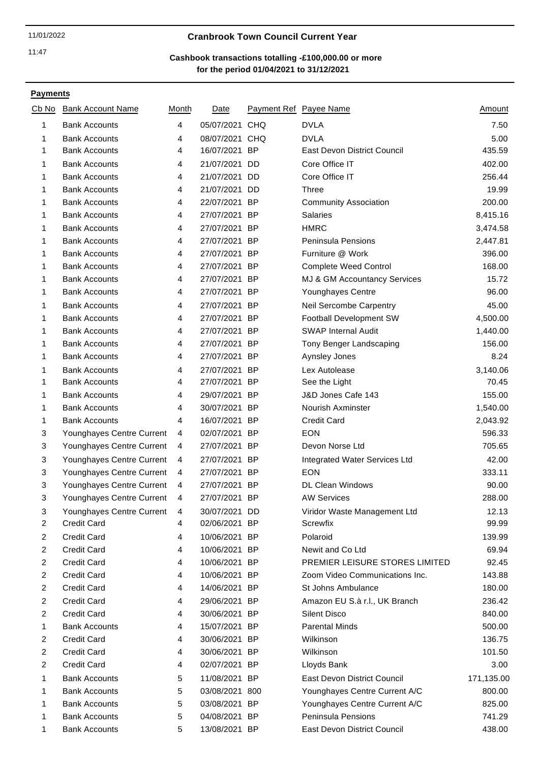### 11/01/2022 **Cranbrook Town Council Current Year**

# **for the period 01/04/2021 to 31/12/2021 Cashbook transactions totalling -£100,000.00 or more**

| Cb No                   | <b>Bank Account Name</b>  | Month | Date           | Payment Ref Payee Name         | Amount     |
|-------------------------|---------------------------|-------|----------------|--------------------------------|------------|
| 1                       | <b>Bank Accounts</b>      | 4     | 05/07/2021 CHQ | <b>DVLA</b>                    | 7.50       |
| 1                       | <b>Bank Accounts</b>      | 4     | 08/07/2021 CHQ | <b>DVLA</b>                    | 5.00       |
| 1                       | <b>Bank Accounts</b>      | 4     | 16/07/2021 BP  | East Devon District Council    | 435.59     |
| 1                       | <b>Bank Accounts</b>      | 4     | 21/07/2021 DD  | Core Office IT                 | 402.00     |
| 1                       | <b>Bank Accounts</b>      | 4     | 21/07/2021 DD  | Core Office IT                 | 256.44     |
| 1                       | <b>Bank Accounts</b>      | 4     | 21/07/2021 DD  | <b>Three</b>                   | 19.99      |
| 1                       | <b>Bank Accounts</b>      | 4     | 22/07/2021 BP  | <b>Community Association</b>   | 200.00     |
| 1                       | <b>Bank Accounts</b>      | 4     | 27/07/2021 BP  | <b>Salaries</b>                | 8,415.16   |
| 1                       | <b>Bank Accounts</b>      | 4     | 27/07/2021 BP  | <b>HMRC</b>                    | 3,474.58   |
| 1                       | <b>Bank Accounts</b>      | 4     | 27/07/2021 BP  | Peninsula Pensions             | 2,447.81   |
| 1                       | <b>Bank Accounts</b>      | 4     | 27/07/2021 BP  | Furniture @ Work               | 396.00     |
| 1                       | <b>Bank Accounts</b>      | 4     | 27/07/2021 BP  | <b>Complete Weed Control</b>   | 168.00     |
| 1                       | <b>Bank Accounts</b>      | 4     | 27/07/2021 BP  | MJ & GM Accountancy Services   | 15.72      |
| 1                       | <b>Bank Accounts</b>      | 4     | 27/07/2021 BP  | Younghayes Centre              | 96.00      |
| 1                       | <b>Bank Accounts</b>      | 4     | 27/07/2021 BP  | <b>Neil Sercombe Carpentry</b> | 45.00      |
| 1                       | <b>Bank Accounts</b>      | 4     | 27/07/2021 BP  | Football Development SW        | 4,500.00   |
| 1                       | <b>Bank Accounts</b>      | 4     | 27/07/2021 BP  | <b>SWAP Internal Audit</b>     | 1,440.00   |
| 1                       | <b>Bank Accounts</b>      | 4     | 27/07/2021 BP  | Tony Benger Landscaping        | 156.00     |
| 1                       | <b>Bank Accounts</b>      | 4     | 27/07/2021 BP  | Aynsley Jones                  | 8.24       |
| 1                       | <b>Bank Accounts</b>      | 4     | 27/07/2021 BP  | Lex Autolease                  | 3,140.06   |
| 1                       | <b>Bank Accounts</b>      | 4     | 27/07/2021 BP  | See the Light                  | 70.45      |
| 1                       | <b>Bank Accounts</b>      | 4     | 29/07/2021 BP  | J&D Jones Cafe 143             | 155.00     |
| 1                       | <b>Bank Accounts</b>      | 4     | 30/07/2021 BP  | Nourish Axminster              | 1,540.00   |
| 1                       | <b>Bank Accounts</b>      | 4     | 16/07/2021 BP  | <b>Credit Card</b>             | 2,043.92   |
| 3                       | Younghayes Centre Current | 4     | 02/07/2021 BP  | <b>EON</b>                     | 596.33     |
| 3                       | Younghayes Centre Current | 4     | 27/07/2021 BP  | Devon Norse Ltd                | 705.65     |
| 3                       | Younghayes Centre Current | 4     | 27/07/2021 BP  | Integrated Water Services Ltd  | 42.00      |
| 3                       | Younghayes Centre Current | 4     | 27/07/2021 BP  | <b>EON</b>                     | 333.11     |
| 3                       | Younghayes Centre Current | 4     | 27/07/2021 BP  | <b>DL Clean Windows</b>        | 90.00      |
| 3                       | Younghayes Centre Current | 4     | 27/07/2021 BP  | <b>AW Services</b>             | 288.00     |
| 3                       | Younghayes Centre Current | 4     | 30/07/2021 DD  | Viridor Waste Management Ltd   | 12.13      |
| 2                       | <b>Credit Card</b>        | 4     | 02/06/2021 BP  | Screwfix                       | 99.99      |
| $\overline{c}$          | <b>Credit Card</b>        | 4     | 10/06/2021 BP  | Polaroid                       | 139.99     |
| $\overline{c}$          | <b>Credit Card</b>        | 4     | 10/06/2021 BP  | Newit and Co Ltd               | 69.94      |
| $\overline{2}$          | <b>Credit Card</b>        | 4     | 10/06/2021 BP  | PREMIER LEISURE STORES LIMITED | 92.45      |
| $\overline{c}$          | <b>Credit Card</b>        | 4     | 10/06/2021 BP  | Zoom Video Communications Inc. | 143.88     |
| $\overline{c}$          | <b>Credit Card</b>        | 4     | 14/06/2021 BP  | St Johns Ambulance             | 180.00     |
| $\overline{c}$          | <b>Credit Card</b>        | 4     | 29/06/2021 BP  | Amazon EU S.à r.l., UK Branch  | 236.42     |
| 2                       | <b>Credit Card</b>        | 4     | 30/06/2021 BP  | <b>Silent Disco</b>            | 840.00     |
| 1                       | <b>Bank Accounts</b>      | 4     | 15/07/2021 BP  | <b>Parental Minds</b>          | 500.00     |
| 2                       | <b>Credit Card</b>        | 4     | 30/06/2021 BP  | Wilkinson                      | 136.75     |
| $\overline{c}$          | <b>Credit Card</b>        | 4     | 30/06/2021 BP  | Wilkinson                      | 101.50     |
| $\overline{\mathbf{c}}$ | <b>Credit Card</b>        | 4     | 02/07/2021 BP  | Lloyds Bank                    | 3.00       |
| 1                       | <b>Bank Accounts</b>      | 5     | 11/08/2021 BP  | East Devon District Council    | 171,135.00 |
| 1                       | <b>Bank Accounts</b>      | 5     | 03/08/2021 800 | Younghayes Centre Current A/C  | 800.00     |
| 1                       | <b>Bank Accounts</b>      | 5     | 03/08/2021 BP  | Younghayes Centre Current A/C  | 825.00     |
| 1                       | <b>Bank Accounts</b>      | 5     | 04/08/2021 BP  | <b>Peninsula Pensions</b>      | 741.29     |
| 1                       | <b>Bank Accounts</b>      | 5     | 13/08/2021 BP  | East Devon District Council    | 438.00     |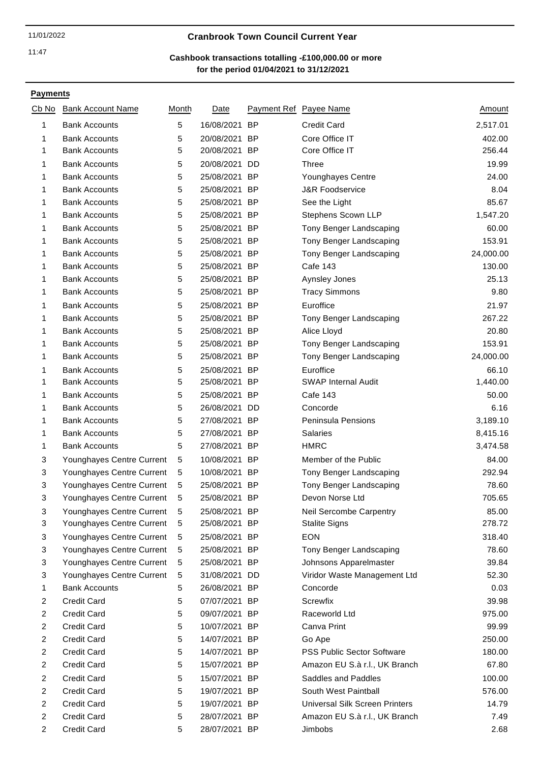### 11/01/2022 **Cranbrook Town Council Current Year**

# **for the period 01/04/2021 to 31/12/2021 Cashbook transactions totalling -£100,000.00 or more**

| Cb No          | <b>Bank Account Name</b>  | Month | Date          |           | Payment Ref Payee Name            | Amount    |
|----------------|---------------------------|-------|---------------|-----------|-----------------------------------|-----------|
| 1              | <b>Bank Accounts</b>      | 5     | 16/08/2021    | <b>BP</b> | <b>Credit Card</b>                | 2,517.01  |
| 1              | <b>Bank Accounts</b>      | 5     | 20/08/2021    | <b>BP</b> | Core Office IT                    | 402.00    |
| 1              | <b>Bank Accounts</b>      | 5     | 20/08/2021 BP |           | Core Office IT                    | 256.44    |
| 1              | <b>Bank Accounts</b>      | 5     | 20/08/2021 DD |           | Three                             | 19.99     |
| 1              | <b>Bank Accounts</b>      | 5     | 25/08/2021 BP |           | Younghayes Centre                 | 24.00     |
| 1              | <b>Bank Accounts</b>      | 5     | 25/08/2021 BP |           | <b>J&amp;R Foodservice</b>        | 8.04      |
| 1              | <b>Bank Accounts</b>      | 5     | 25/08/2021 BP |           | See the Light                     | 85.67     |
| 1              | <b>Bank Accounts</b>      | 5     | 25/08/2021    | <b>BP</b> | Stephens Scown LLP                | 1,547.20  |
| 1              | <b>Bank Accounts</b>      | 5     | 25/08/2021 BP |           | Tony Benger Landscaping           | 60.00     |
| 1              | <b>Bank Accounts</b>      | 5     | 25/08/2021 BP |           | Tony Benger Landscaping           | 153.91    |
| 1              | <b>Bank Accounts</b>      | 5     | 25/08/2021 BP |           | Tony Benger Landscaping           | 24,000.00 |
| 1              | <b>Bank Accounts</b>      | 5     | 25/08/2021 BP |           | <b>Cafe 143</b>                   | 130.00    |
| 1              | <b>Bank Accounts</b>      | 5     | 25/08/2021 BP |           | Aynsley Jones                     | 25.13     |
| 1              | <b>Bank Accounts</b>      | 5     | 25/08/2021 BP |           | <b>Tracy Simmons</b>              | 9.80      |
| 1              | <b>Bank Accounts</b>      | 5     | 25/08/2021 BP |           | Euroffice                         | 21.97     |
| 1              | <b>Bank Accounts</b>      | 5     | 25/08/2021 BP |           | Tony Benger Landscaping           | 267.22    |
| 1              | <b>Bank Accounts</b>      | 5     | 25/08/2021 BP |           | Alice Lloyd                       | 20.80     |
| 1              | <b>Bank Accounts</b>      | 5     | 25/08/2021 BP |           | Tony Benger Landscaping           | 153.91    |
| 1              | <b>Bank Accounts</b>      | 5     | 25/08/2021 BP |           | Tony Benger Landscaping           | 24,000.00 |
| 1              | <b>Bank Accounts</b>      | 5     | 25/08/2021 BP |           | Euroffice                         | 66.10     |
| 1              | <b>Bank Accounts</b>      | 5     | 25/08/2021 BP |           | <b>SWAP Internal Audit</b>        | 1,440.00  |
| 1              | <b>Bank Accounts</b>      | 5     | 25/08/2021 BP |           | <b>Cafe 143</b>                   | 50.00     |
| 1              | <b>Bank Accounts</b>      | 5     | 26/08/2021 DD |           | Concorde                          | 6.16      |
| 1              | <b>Bank Accounts</b>      | 5     | 27/08/2021    | <b>BP</b> | Peninsula Pensions                | 3,189.10  |
| 1              | <b>Bank Accounts</b>      | 5     | 27/08/2021 BP |           | Salaries                          | 8,415.16  |
| 1              | <b>Bank Accounts</b>      | 5     | 27/08/2021 BP |           | <b>HMRC</b>                       | 3,474.58  |
| 3              | Younghayes Centre Current | 5     | 10/08/2021 BP |           | Member of the Public              | 84.00     |
| 3              | Younghayes Centre Current | 5     | 10/08/2021 BP |           | Tony Benger Landscaping           | 292.94    |
| 3              | Younghayes Centre Current | 5     | 25/08/2021 BP |           | Tony Benger Landscaping           | 78.60     |
| 3              | Younghayes Centre Current | 5     | 25/08/2021 BP |           | Devon Norse Ltd                   | 705.65    |
| 3              | Younghayes Centre Current | 5     | 25/08/2021 BP |           | <b>Neil Sercombe Carpentry</b>    | 85.00     |
| 3              | Younghayes Centre Current | 5     | 25/08/2021 BP |           | <b>Stalite Signs</b>              | 278.72    |
| 3              | Younghayes Centre Current | 5     | 25/08/2021 BP |           | <b>EON</b>                        | 318.40    |
| 3              | Younghayes Centre Current | 5     | 25/08/2021 BP |           | Tony Benger Landscaping           | 78.60     |
| 3              | Younghayes Centre Current | 5     | 25/08/2021 BP |           | Johnsons Apparelmaster            | 39.84     |
| 3              | Younghayes Centre Current | 5     | 31/08/2021 DD |           | Viridor Waste Management Ltd      | 52.30     |
| 1              | <b>Bank Accounts</b>      | 5     | 26/08/2021 BP |           | Concorde                          | 0.03      |
| $\overline{c}$ | <b>Credit Card</b>        | 5     | 07/07/2021 BP |           | Screwfix                          | 39.98     |
| $\overline{2}$ | <b>Credit Card</b>        | 5     | 09/07/2021 BP |           | Raceworld Ltd                     | 975.00    |
| $\overline{2}$ | <b>Credit Card</b>        | 5     | 10/07/2021 BP |           | Canva Print                       | 99.99     |
| $\overline{c}$ | <b>Credit Card</b>        | 5     | 14/07/2021 BP |           | Go Ape                            | 250.00    |
| 2              | <b>Credit Card</b>        | 5     | 14/07/2021 BP |           | <b>PSS Public Sector Software</b> | 180.00    |
| $\overline{2}$ | <b>Credit Card</b>        | 5     | 15/07/2021 BP |           | Amazon EU S.à r.l., UK Branch     | 67.80     |
| $\overline{2}$ | <b>Credit Card</b>        |       | 15/07/2021 BP |           | Saddles and Paddles               | 100.00    |
| 2              | <b>Credit Card</b>        | 5     | 19/07/2021 BP |           | South West Paintball              | 576.00    |
|                |                           | 5     |               |           |                                   |           |
| 2              | <b>Credit Card</b>        | 5     | 19/07/2021 BP |           | Universal Silk Screen Printers    | 14.79     |
| 2              | <b>Credit Card</b>        | 5     | 28/07/2021 BP |           | Amazon EU S.à r.l., UK Branch     | 7.49      |
| 2              | <b>Credit Card</b>        | 5     | 28/07/2021 BP |           | Jimbobs                           | 2.68      |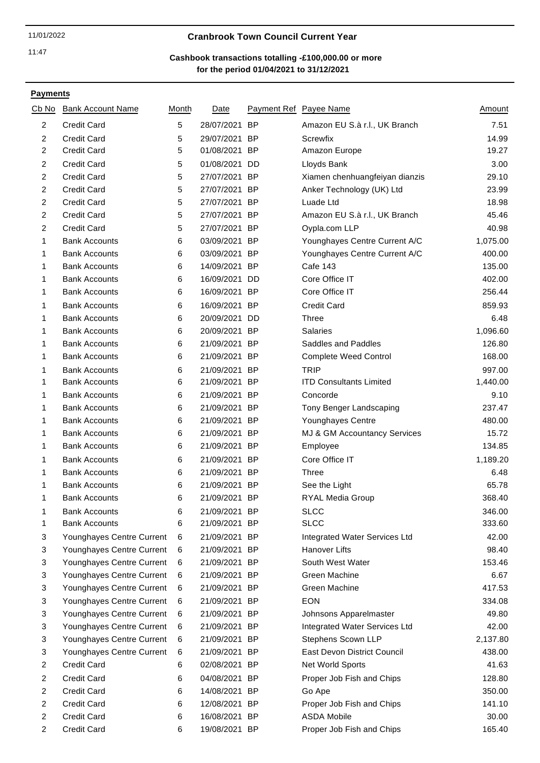### 11/01/2022 **Cranbrook Town Council Current Year**

# **for the period 01/04/2021 to 31/12/2021 Cashbook transactions totalling -£100,000.00 or more**

| Cb No          | <b>Bank Account Name</b>  | Month | Date          | Payment Ref Payee Name |                                | Amount   |
|----------------|---------------------------|-------|---------------|------------------------|--------------------------------|----------|
| $\overline{2}$ | <b>Credit Card</b>        | 5     | 28/07/2021    | <b>BP</b>              | Amazon EU S.à r.l., UK Branch  | 7.51     |
| $\overline{c}$ | <b>Credit Card</b>        | 5     | 29/07/2021    | <b>BP</b>              | Screwfix                       | 14.99    |
| $\overline{c}$ | <b>Credit Card</b>        | 5     | 01/08/2021 BP |                        | Amazon Europe                  | 19.27    |
| $\overline{2}$ | <b>Credit Card</b>        | 5     | 01/08/2021 DD |                        | Lloyds Bank                    | 3.00     |
| $\overline{c}$ | <b>Credit Card</b>        | 5     | 27/07/2021 BP |                        | Xiamen chenhuangfeiyan dianzis | 29.10    |
| 2              | <b>Credit Card</b>        | 5     | 27/07/2021 BP |                        | Anker Technology (UK) Ltd      | 23.99    |
| $\overline{c}$ | <b>Credit Card</b>        | 5     | 27/07/2021 BP |                        | Luade Ltd                      | 18.98    |
| $\overline{c}$ | <b>Credit Card</b>        | 5     | 27/07/2021 BP |                        | Amazon EU S.à r.l., UK Branch  | 45.46    |
| 2              | <b>Credit Card</b>        | 5     | 27/07/2021 BP |                        | Oypla.com LLP                  | 40.98    |
| 1              | <b>Bank Accounts</b>      | 6     | 03/09/2021 BP |                        | Younghayes Centre Current A/C  | 1,075.00 |
| 1              | <b>Bank Accounts</b>      | 6     | 03/09/2021 BP |                        | Younghayes Centre Current A/C  | 400.00   |
| 1              | <b>Bank Accounts</b>      | 6     | 14/09/2021 BP |                        | <b>Cafe 143</b>                | 135.00   |
| 1              | <b>Bank Accounts</b>      | 6     | 16/09/2021    | DD                     | Core Office IT                 | 402.00   |
| 1              | <b>Bank Accounts</b>      | 6     | 16/09/2021 BP |                        | Core Office IT                 | 256.44   |
| 1              | <b>Bank Accounts</b>      | 6     | 16/09/2021 BP |                        | <b>Credit Card</b>             | 859.93   |
| 1              | <b>Bank Accounts</b>      | 6     | 20/09/2021 DD |                        | <b>Three</b>                   | 6.48     |
| 1              | <b>Bank Accounts</b>      | 6     | 20/09/2021 BP |                        | <b>Salaries</b>                | 1,096.60 |
| 1              | <b>Bank Accounts</b>      | 6     | 21/09/2021 BP |                        | Saddles and Paddles            | 126.80   |
| 1              | <b>Bank Accounts</b>      | 6     | 21/09/2021 BP |                        | <b>Complete Weed Control</b>   | 168.00   |
| 1              | <b>Bank Accounts</b>      | 6     | 21/09/2021 BP |                        | <b>TRIP</b>                    | 997.00   |
| 1              | <b>Bank Accounts</b>      | 6     | 21/09/2021 BP |                        | <b>ITD Consultants Limited</b> | 1,440.00 |
| 1              | <b>Bank Accounts</b>      | 6     | 21/09/2021 BP |                        | Concorde                       | 9.10     |
| 1              | <b>Bank Accounts</b>      | 6     | 21/09/2021 BP |                        | Tony Benger Landscaping        | 237.47   |
| 1              | <b>Bank Accounts</b>      | 6     | 21/09/2021 BP |                        | Younghayes Centre              | 480.00   |
| 1              | <b>Bank Accounts</b>      | 6     | 21/09/2021 BP |                        | MJ & GM Accountancy Services   | 15.72    |
| 1              | <b>Bank Accounts</b>      | 6     | 21/09/2021 BP |                        | Employee                       | 134.85   |
| 1              | <b>Bank Accounts</b>      | 6     | 21/09/2021 BP |                        | Core Office IT                 | 1,189.20 |
| 1              | <b>Bank Accounts</b>      | 6     | 21/09/2021 BP |                        | Three                          | 6.48     |
| 1              | <b>Bank Accounts</b>      | 6     | 21/09/2021 BP |                        | See the Light                  | 65.78    |
| 1              | <b>Bank Accounts</b>      | 6     | 21/09/2021 BP |                        | RYAL Media Group               | 368.40   |
| 1              | <b>Bank Accounts</b>      | 6     | 21/09/2021 BP |                        | SLCC                           | 346.00   |
| 1              | <b>Bank Accounts</b>      | 6     | 21/09/2021 BP |                        | <b>SLCC</b>                    | 333.60   |
| 3              | Younghayes Centre Current | 6     | 21/09/2021 BP |                        | Integrated Water Services Ltd  | 42.00    |
| 3              | Younghayes Centre Current | 6     | 21/09/2021 BP |                        | Hanover Lifts                  | 98.40    |
| 3              | Younghayes Centre Current | 6     | 21/09/2021 BP |                        | South West Water               | 153.46   |
| 3              | Younghayes Centre Current | 6     | 21/09/2021 BP |                        | Green Machine                  | 6.67     |
| 3              | Younghayes Centre Current | 6     | 21/09/2021 BP |                        | Green Machine                  | 417.53   |
| 3              | Younghayes Centre Current | 6     | 21/09/2021 BP |                        | <b>EON</b>                     | 334.08   |
| 3              | Younghayes Centre Current | 6     | 21/09/2021 BP |                        | Johnsons Apparelmaster         | 49.80    |
| 3              | Younghayes Centre Current | 6     | 21/09/2021 BP |                        | Integrated Water Services Ltd  | 42.00    |
| 3              | Younghayes Centre Current | 6     | 21/09/2021 BP |                        | Stephens Scown LLP             | 2,137.80 |
| 3              | Younghayes Centre Current | 6     | 21/09/2021 BP |                        | East Devon District Council    | 438.00   |
| $\overline{c}$ | <b>Credit Card</b>        | 6     | 02/08/2021 BP |                        | Net World Sports               | 41.63    |
| $\overline{c}$ | <b>Credit Card</b>        | 6     | 04/08/2021 BP |                        | Proper Job Fish and Chips      | 128.80   |
| $\overline{2}$ | <b>Credit Card</b>        | 6     | 14/08/2021 BP |                        | Go Ape                         | 350.00   |
| $\overline{c}$ | <b>Credit Card</b>        | 6     | 12/08/2021 BP |                        | Proper Job Fish and Chips      | 141.10   |
| 2              | <b>Credit Card</b>        | 6     | 16/08/2021 BP |                        | <b>ASDA Mobile</b>             | 30.00    |
| $\overline{c}$ | <b>Credit Card</b>        | 6     | 19/08/2021 BP |                        | Proper Job Fish and Chips      | 165.40   |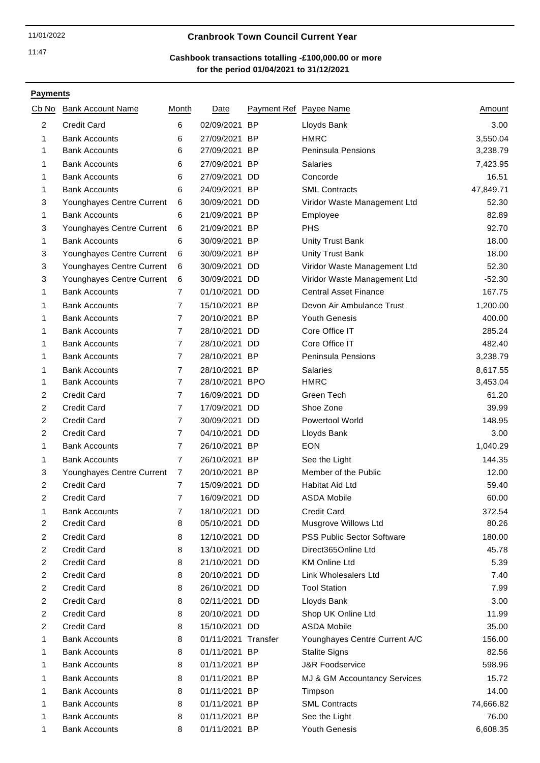# 11/01/2022 **Cranbrook Town Council Current Year**

# **for the period 01/04/2021 to 31/12/2021 Cashbook transactions totalling -£100,000.00 or more**

| <u>Cb No</u>   | <b>Bank Account Name</b>  | Month          | Date                |    | Payment Ref Payee Name            | <u>Amount</u> |
|----------------|---------------------------|----------------|---------------------|----|-----------------------------------|---------------|
| 2              | <b>Credit Card</b>        | 6              | 02/09/2021 BP       |    | Lloyds Bank                       | 3.00          |
| 1              | <b>Bank Accounts</b>      | 6              | 27/09/2021 BP       |    | <b>HMRC</b>                       | 3,550.04      |
| 1              | <b>Bank Accounts</b>      | 6              | 27/09/2021 BP       |    | Peninsula Pensions                | 3,238.79      |
| 1              | <b>Bank Accounts</b>      | 6              | 27/09/2021 BP       |    | Salaries                          | 7,423.95      |
| 1              | <b>Bank Accounts</b>      | 6              | 27/09/2021          | DD | Concorde                          | 16.51         |
| 1              | <b>Bank Accounts</b>      | 6              | 24/09/2021 BP       |    | <b>SML Contracts</b>              | 47,849.71     |
| 3              | Younghayes Centre Current | 6              | 30/09/2021 DD       |    | Viridor Waste Management Ltd      | 52.30         |
| 1              | <b>Bank Accounts</b>      | 6              | 21/09/2021 BP       |    | Employee                          | 82.89         |
| 3              | Younghayes Centre Current | 6              | 21/09/2021 BP       |    | <b>PHS</b>                        | 92.70         |
| 1              | <b>Bank Accounts</b>      | 6              | 30/09/2021 BP       |    | <b>Unity Trust Bank</b>           | 18.00         |
| 3              | Younghayes Centre Current | 6              | 30/09/2021 BP       |    | <b>Unity Trust Bank</b>           | 18.00         |
| 3              | Younghayes Centre Current | 6              | 30/09/2021 DD       |    | Viridor Waste Management Ltd      | 52.30         |
| 3              | Younghayes Centre Current | 6              | 30/09/2021 DD       |    | Viridor Waste Management Ltd      | $-52.30$      |
| 1              | <b>Bank Accounts</b>      | $\overline{7}$ | 01/10/2021 DD       |    | <b>Central Asset Finance</b>      | 167.75        |
| 1              | <b>Bank Accounts</b>      | 7              | 15/10/2021 BP       |    | Devon Air Ambulance Trust         | 1,200.00      |
| 1              | <b>Bank Accounts</b>      | $\overline{7}$ | 20/10/2021 BP       |    | Youth Genesis                     | 400.00        |
| 1              | <b>Bank Accounts</b>      | $\overline{7}$ | 28/10/2021 DD       |    | Core Office IT                    | 285.24        |
| 1              | <b>Bank Accounts</b>      | 7              | 28/10/2021 DD       |    | Core Office IT                    | 482.40        |
| 1              | <b>Bank Accounts</b>      | 7              | 28/10/2021 BP       |    | Peninsula Pensions                | 3,238.79      |
| 1              | <b>Bank Accounts</b>      | 7              | 28/10/2021 BP       |    | <b>Salaries</b>                   | 8,617.55      |
| 1              | <b>Bank Accounts</b>      | 7              | 28/10/2021 BPO      |    | <b>HMRC</b>                       | 3,453.04      |
| $\overline{2}$ | <b>Credit Card</b>        | 7              | 16/09/2021 DD       |    | Green Tech                        | 61.20         |
| 2              | <b>Credit Card</b>        | $\overline{7}$ | 17/09/2021 DD       |    | Shoe Zone                         | 39.99         |
| $\overline{c}$ | <b>Credit Card</b>        | 7              | 30/09/2021 DD       |    | Powertool World                   | 148.95        |
| $\overline{c}$ | <b>Credit Card</b>        | $\overline{7}$ | 04/10/2021 DD       |    | Lloyds Bank                       | 3.00          |
| 1              | <b>Bank Accounts</b>      | 7              | 26/10/2021 BP       |    | <b>EON</b>                        | 1,040.29      |
| 1              | <b>Bank Accounts</b>      | 7              | 26/10/2021 BP       |    | See the Light                     | 144.35        |
| 3              | Younghayes Centre Current | 7              | 20/10/2021 BP       |    | Member of the Public              | 12.00         |
| $\overline{2}$ | <b>Credit Card</b>        | $\overline{7}$ | 15/09/2021 DD       |    | Habitat Aid Ltd                   | 59.40         |
| $\overline{c}$ | <b>Credit Card</b>        | 7              | 16/09/2021 DD       |    | <b>ASDA Mobile</b>                | 60.00         |
| 1              | <b>Bank Accounts</b>      | 7              | 18/10/2021 DD       |    | Credit Card                       | 372.54        |
| $\overline{2}$ | <b>Credit Card</b>        | 8              | 05/10/2021 DD       |    | Musgrove Willows Ltd              | 80.26         |
| $\overline{2}$ | <b>Credit Card</b>        | 8              | 12/10/2021 DD       |    | <b>PSS Public Sector Software</b> | 180.00        |
| $\overline{2}$ | <b>Credit Card</b>        | 8              | 13/10/2021 DD       |    | Direct365Online Ltd               | 45.78         |
| $\overline{2}$ | <b>Credit Card</b>        | 8              | 21/10/2021 DD       |    | <b>KM Online Ltd</b>              | 5.39          |
| $\overline{c}$ | <b>Credit Card</b>        | 8              | 20/10/2021 DD       |    | Link Wholesalers Ltd              | 7.40          |
| $\overline{c}$ | <b>Credit Card</b>        | 8              | 26/10/2021 DD       |    | <b>Tool Station</b>               | 7.99          |
| $\overline{2}$ | <b>Credit Card</b>        | 8              | 02/11/2021 DD       |    | Lloyds Bank                       | 3.00          |
| $\overline{2}$ | <b>Credit Card</b>        | 8              | 20/10/2021 DD       |    | Shop UK Online Ltd                | 11.99         |
| $\overline{2}$ | <b>Credit Card</b>        | 8              | 15/10/2021 DD       |    | <b>ASDA Mobile</b>                | 35.00         |
| 1              | <b>Bank Accounts</b>      | 8              | 01/11/2021 Transfer |    | Younghayes Centre Current A/C     | 156.00        |
| 1              | <b>Bank Accounts</b>      | 8              | 01/11/2021 BP       |    | <b>Stalite Signs</b>              | 82.56         |
| 1              | <b>Bank Accounts</b>      | 8              | 01/11/2021 BP       |    | <b>J&amp;R Foodservice</b>        | 598.96        |
| 1              | <b>Bank Accounts</b>      | 8              | 01/11/2021 BP       |    | MJ & GM Accountancy Services      | 15.72         |
| 1              | <b>Bank Accounts</b>      | 8              | 01/11/2021 BP       |    | Timpson                           | 14.00         |
| 1              | <b>Bank Accounts</b>      | 8              | 01/11/2021 BP       |    | <b>SML Contracts</b>              | 74,666.82     |
| 1              | <b>Bank Accounts</b>      | 8              | 01/11/2021 BP       |    | See the Light                     | 76.00         |
| 1              | <b>Bank Accounts</b>      | 8              | 01/11/2021 BP       |    | <b>Youth Genesis</b>              | 6,608.35      |
|                |                           |                |                     |    |                                   |               |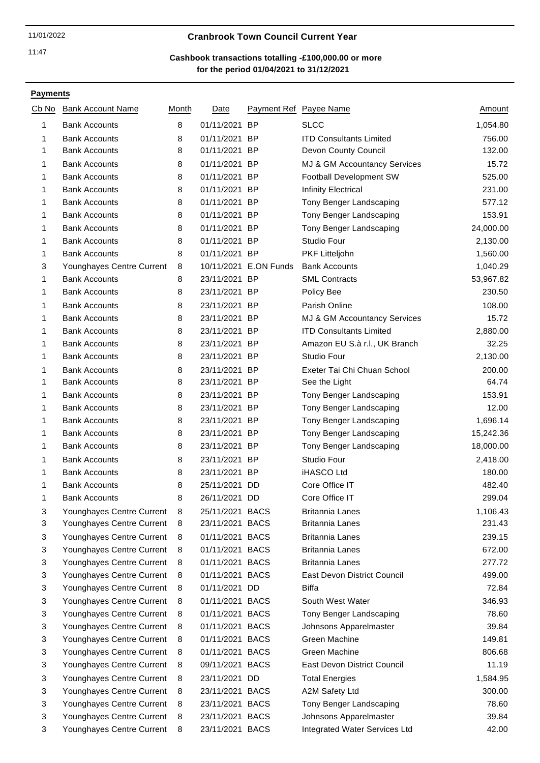# 11/01/2022 **Cranbrook Town Council Current Year**

# **for the period 01/04/2021 to 31/12/2021 Cashbook transactions totalling -£100,000.00 or more**

| Cb No | <b>Bank Account Name</b>  | Month | <b>Date</b>     |                       | Payment Ref Payee Name             | Amount    |
|-------|---------------------------|-------|-----------------|-----------------------|------------------------------------|-----------|
| 1     | <b>Bank Accounts</b>      | 8     | 01/11/2021 BP   |                       | <b>SLCC</b>                        | 1,054.80  |
| 1     | <b>Bank Accounts</b>      | 8     | 01/11/2021 BP   |                       | <b>ITD Consultants Limited</b>     | 756.00    |
| 1     | <b>Bank Accounts</b>      | 8     | 01/11/2021 BP   |                       | Devon County Council               | 132.00    |
| 1     | <b>Bank Accounts</b>      | 8     | 01/11/2021 BP   |                       | MJ & GM Accountancy Services       | 15.72     |
| 1     | <b>Bank Accounts</b>      | 8     | 01/11/2021 BP   |                       | Football Development SW            | 525.00    |
| 1     | <b>Bank Accounts</b>      | 8     | 01/11/2021 BP   |                       | Infinity Electrical                | 231.00    |
| 1     | <b>Bank Accounts</b>      | 8     | 01/11/2021 BP   |                       | Tony Benger Landscaping            | 577.12    |
| 1     | <b>Bank Accounts</b>      | 8     | 01/11/2021 BP   |                       | Tony Benger Landscaping            | 153.91    |
| 1     | <b>Bank Accounts</b>      | 8     | 01/11/2021 BP   |                       | Tony Benger Landscaping            | 24,000.00 |
| 1     | <b>Bank Accounts</b>      | 8     | 01/11/2021 BP   |                       | Studio Four                        | 2,130.00  |
| 1     | <b>Bank Accounts</b>      | 8     | 01/11/2021 BP   |                       | PKF Litteljohn                     | 1,560.00  |
| 3     | Younghayes Centre Current | 8     |                 | 10/11/2021 E.ON Funds | <b>Bank Accounts</b>               | 1,040.29  |
| 1     | <b>Bank Accounts</b>      | 8     | 23/11/2021 BP   |                       | <b>SML Contracts</b>               | 53,967.82 |
| 1     | <b>Bank Accounts</b>      | 8     | 23/11/2021 BP   |                       | Policy Bee                         | 230.50    |
| 1     | <b>Bank Accounts</b>      | 8     | 23/11/2021 BP   |                       | Parish Online                      | 108.00    |
| 1     | <b>Bank Accounts</b>      | 8     | 23/11/2021 BP   |                       | MJ & GM Accountancy Services       | 15.72     |
| 1     | <b>Bank Accounts</b>      | 8     | 23/11/2021 BP   |                       | <b>ITD Consultants Limited</b>     | 2,880.00  |
| 1     | <b>Bank Accounts</b>      | 8     | 23/11/2021 BP   |                       | Amazon EU S.à r.l., UK Branch      | 32.25     |
| 1     | <b>Bank Accounts</b>      | 8     | 23/11/2021 BP   |                       | <b>Studio Four</b>                 | 2,130.00  |
| 1     | <b>Bank Accounts</b>      | 8     | 23/11/2021 BP   |                       | Exeter Tai Chi Chuan School        | 200.00    |
| 1     | <b>Bank Accounts</b>      | 8     | 23/11/2021 BP   |                       | See the Light                      | 64.74     |
| 1     | <b>Bank Accounts</b>      | 8     | 23/11/2021 BP   |                       | Tony Benger Landscaping            | 153.91    |
| 1     | <b>Bank Accounts</b>      | 8     | 23/11/2021 BP   |                       | Tony Benger Landscaping            | 12.00     |
| 1     | <b>Bank Accounts</b>      | 8     | 23/11/2021 BP   |                       | Tony Benger Landscaping            | 1,696.14  |
| 1     | <b>Bank Accounts</b>      | 8     | 23/11/2021 BP   |                       | Tony Benger Landscaping            | 15,242.36 |
| 1     | <b>Bank Accounts</b>      | 8     | 23/11/2021 BP   |                       | Tony Benger Landscaping            | 18,000.00 |
| 1     | <b>Bank Accounts</b>      | 8     | 23/11/2021 BP   |                       | Studio Four                        | 2,418.00  |
| 1     | <b>Bank Accounts</b>      | 8     | 23/11/2021 BP   |                       | iHASCO Ltd                         | 180.00    |
| 1     | <b>Bank Accounts</b>      | 8     | 25/11/2021 DD   |                       | Core Office IT                     | 482.40    |
| 1     | <b>Bank Accounts</b>      | 8     | 26/11/2021 DD   |                       | Core Office IT                     | 299.04    |
| 3     | Younghayes Centre Current | 8     | 25/11/2021 BACS |                       | <b>Britannia Lanes</b>             | 1,106.43  |
| 3     | Younghayes Centre Current | 8     | 23/11/2021 BACS |                       | Britannia Lanes                    | 231.43    |
| 3     | Younghayes Centre Current | 8     | 01/11/2021 BACS |                       | <b>Britannia Lanes</b>             | 239.15    |
| 3     | Younghayes Centre Current | 8     | 01/11/2021 BACS |                       | <b>Britannia Lanes</b>             | 672.00    |
| 3     | Younghayes Centre Current | 8     | 01/11/2021 BACS |                       | <b>Britannia Lanes</b>             | 277.72    |
| 3     | Younghayes Centre Current | 8     | 01/11/2021 BACS |                       | <b>East Devon District Council</b> | 499.00    |
| 3     | Younghayes Centre Current | 8     | 01/11/2021 DD   |                       | Biffa                              | 72.84     |
| 3     | Younghayes Centre Current | 8     | 01/11/2021 BACS |                       | South West Water                   | 346.93    |
| 3     | Younghayes Centre Current | 8     | 01/11/2021 BACS |                       | Tony Benger Landscaping            | 78.60     |
| 3     | Younghayes Centre Current | 8     | 01/11/2021 BACS |                       | Johnsons Apparelmaster             | 39.84     |
| 3     | Younghayes Centre Current | 8     | 01/11/2021 BACS |                       | Green Machine                      | 149.81    |
| 3     | Younghayes Centre Current | 8     | 01/11/2021 BACS |                       | Green Machine                      | 806.68    |
| 3     | Younghayes Centre Current | 8     | 09/11/2021 BACS |                       | East Devon District Council        | 11.19     |
| 3     | Younghayes Centre Current | 8     | 23/11/2021 DD   |                       | <b>Total Energies</b>              | 1,584.95  |
| 3     | Younghayes Centre Current | 8     | 23/11/2021 BACS |                       | A2M Safety Ltd                     | 300.00    |
| 3     | Younghayes Centre Current | 8     | 23/11/2021 BACS |                       | Tony Benger Landscaping            | 78.60     |
| 3     | Younghayes Centre Current | 8     | 23/11/2021 BACS |                       | Johnsons Apparelmaster             | 39.84     |
| 3     | Younghayes Centre Current | 8     | 23/11/2021 BACS |                       | Integrated Water Services Ltd      | 42.00     |
|       |                           |       |                 |                       |                                    |           |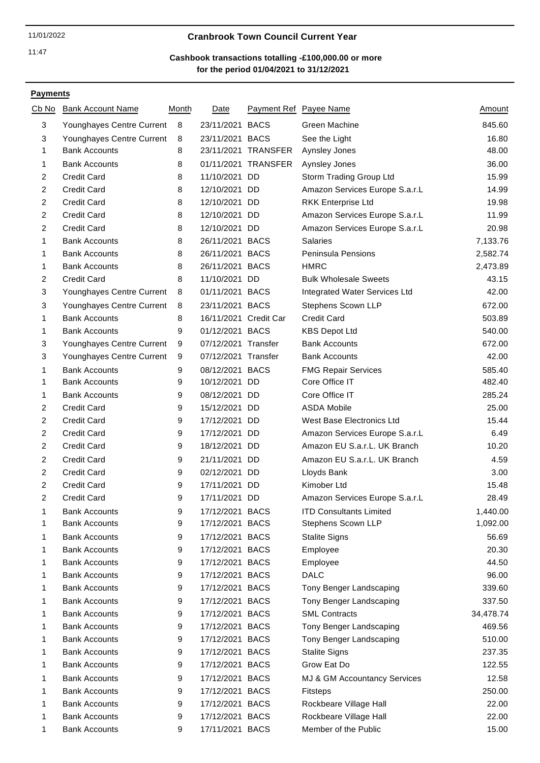### 11/01/2022 **Cranbrook Town Council Current Year**

# **for the period 01/04/2021 to 31/12/2021 Cashbook transactions totalling -£100,000.00 or more**

| Cb No          | <b>Bank Account Name</b>  | Month | <b>Date</b>           |                     | Payment Ref Payee Name         | <u>Amount</u> |
|----------------|---------------------------|-------|-----------------------|---------------------|--------------------------------|---------------|
| 3              | Younghayes Centre Current | 8     | 23/11/2021 BACS       |                     | Green Machine                  | 845.60        |
| 3              | Younghayes Centre Current | 8     | 23/11/2021 BACS       |                     | See the Light                  | 16.80         |
| 1              | <b>Bank Accounts</b>      | 8     |                       | 23/11/2021 TRANSFER | Aynsley Jones                  | 48.00         |
| 1              | <b>Bank Accounts</b>      | 8     |                       | 01/11/2021 TRANSFER | Aynsley Jones                  | 36.00         |
| $\overline{2}$ | <b>Credit Card</b>        | 8     | 11/10/2021 DD         |                     | Storm Trading Group Ltd        | 15.99         |
| $\overline{c}$ | <b>Credit Card</b>        | 8     | 12/10/2021 DD         |                     | Amazon Services Europe S.a.r.L | 14.99         |
| $\overline{2}$ | <b>Credit Card</b>        | 8     | 12/10/2021 DD         |                     | <b>RKK Enterprise Ltd</b>      | 19.98         |
| $\overline{c}$ | <b>Credit Card</b>        | 8     | 12/10/2021 DD         |                     | Amazon Services Europe S.a.r.L | 11.99         |
| $\overline{2}$ | <b>Credit Card</b>        | 8     | 12/10/2021 DD         |                     | Amazon Services Europe S.a.r.L | 20.98         |
| 1              | <b>Bank Accounts</b>      | 8     | 26/11/2021 BACS       |                     | <b>Salaries</b>                | 7,133.76      |
| 1              | <b>Bank Accounts</b>      | 8     | 26/11/2021 BACS       |                     | Peninsula Pensions             | 2,582.74      |
| 1              | <b>Bank Accounts</b>      | 8     | 26/11/2021 BACS       |                     | <b>HMRC</b>                    | 2,473.89      |
| $\overline{c}$ | <b>Credit Card</b>        | 8     | 11/10/2021 DD         |                     | <b>Bulk Wholesale Sweets</b>   | 43.15         |
| $\mathbf{3}$   | Younghayes Centre Current | 8     | 01/11/2021 BACS       |                     | Integrated Water Services Ltd  | 42.00         |
| 3              | Younghayes Centre Current | 8     | 23/11/2021 BACS       |                     | Stephens Scown LLP             | 672.00        |
| 1              | <b>Bank Accounts</b>      | 8     | 16/11/2021 Credit Car |                     | <b>Credit Card</b>             | 503.89        |
| 1              | <b>Bank Accounts</b>      | 9     | 01/12/2021 BACS       |                     | <b>KBS Depot Ltd</b>           | 540.00        |
| 3              | Younghayes Centre Current | 9     | 07/12/2021 Transfer   |                     | <b>Bank Accounts</b>           | 672.00        |
| 3              | Younghayes Centre Current | 9     | 07/12/2021 Transfer   |                     | <b>Bank Accounts</b>           | 42.00         |
| 1              | <b>Bank Accounts</b>      | 9     | 08/12/2021 BACS       |                     | <b>FMG Repair Services</b>     | 585.40        |
| 1              | <b>Bank Accounts</b>      | 9     | 10/12/2021 DD         |                     | Core Office IT                 | 482.40        |
| 1              | <b>Bank Accounts</b>      | 9     | 08/12/2021 DD         |                     | Core Office IT                 | 285.24        |
| $\overline{2}$ | <b>Credit Card</b>        | 9     | 15/12/2021 DD         |                     | <b>ASDA Mobile</b>             | 25.00         |
| $\overline{c}$ | <b>Credit Card</b>        | 9     | 17/12/2021 DD         |                     | West Base Electronics Ltd      | 15.44         |
| $\overline{c}$ | <b>Credit Card</b>        | 9     | 17/12/2021 DD         |                     | Amazon Services Europe S.a.r.L | 6.49          |
| $\overline{2}$ | <b>Credit Card</b>        | 9     | 18/12/2021 DD         |                     | Amazon EU S.a.r.L. UK Branch   | 10.20         |
| $\overline{2}$ | <b>Credit Card</b>        | 9     | 21/11/2021 DD         |                     | Amazon EU S.a.r.L. UK Branch   | 4.59          |
| $\overline{c}$ | <b>Credit Card</b>        | 9     | 02/12/2021 DD         |                     | Lloyds Bank                    | 3.00          |
| $\overline{c}$ | <b>Credit Card</b>        | 9     | 17/11/2021 DD         |                     | Kimober Ltd                    | 15.48         |
| $\overline{c}$ | <b>Credit Card</b>        | 9     | 17/11/2021 DD         |                     | Amazon Services Europe S.a.r.L | 28.49         |
| 1              | <b>Bank Accounts</b>      | 9     | 17/12/2021 BACS       |                     | <b>ITD Consultants Limited</b> | 1,440.00      |
| 1              | <b>Bank Accounts</b>      | 9     | 17/12/2021 BACS       |                     | Stephens Scown LLP             | 1,092.00      |
| 1              | <b>Bank Accounts</b>      | 9     | 17/12/2021 BACS       |                     | <b>Stalite Signs</b>           | 56.69         |
| 1              | <b>Bank Accounts</b>      | 9     | 17/12/2021 BACS       |                     | Employee                       | 20.30         |
| 1              | <b>Bank Accounts</b>      | 9     | 17/12/2021 BACS       |                     | Employee                       | 44.50         |
| 1              | <b>Bank Accounts</b>      | 9     | 17/12/2021 BACS       |                     | <b>DALC</b>                    | 96.00         |
| 1              | <b>Bank Accounts</b>      | 9     | 17/12/2021 BACS       |                     | Tony Benger Landscaping        | 339.60        |
| 1              | <b>Bank Accounts</b>      | 9     | 17/12/2021 BACS       |                     | Tony Benger Landscaping        | 337.50        |
| 1              | <b>Bank Accounts</b>      | 9     | 17/12/2021 BACS       |                     | <b>SML Contracts</b>           | 34,478.74     |
| 1              | <b>Bank Accounts</b>      | 9     | 17/12/2021 BACS       |                     | Tony Benger Landscaping        | 469.56        |
| 1              | <b>Bank Accounts</b>      | 9     | 17/12/2021 BACS       |                     | Tony Benger Landscaping        | 510.00        |
| 1              | <b>Bank Accounts</b>      | 9     | 17/12/2021 BACS       |                     | <b>Stalite Signs</b>           | 237.35        |
| 1              | <b>Bank Accounts</b>      | 9     | 17/12/2021 BACS       |                     | Grow Eat Do                    | 122.55        |
| 1              | <b>Bank Accounts</b>      | 9     | 17/12/2021 BACS       |                     | MJ & GM Accountancy Services   | 12.58         |
| 1              | <b>Bank Accounts</b>      | 9     | 17/12/2021 BACS       |                     | Fitsteps                       | 250.00        |
| 1              | <b>Bank Accounts</b>      | 9     | 17/12/2021 BACS       |                     | Rockbeare Village Hall         | 22.00         |
| 1              | <b>Bank Accounts</b>      | 9     | 17/12/2021 BACS       |                     | Rockbeare Village Hall         | 22.00         |
| 1              | <b>Bank Accounts</b>      | 9     | 17/11/2021 BACS       |                     | Member of the Public           | 15.00         |
|                |                           |       |                       |                     |                                |               |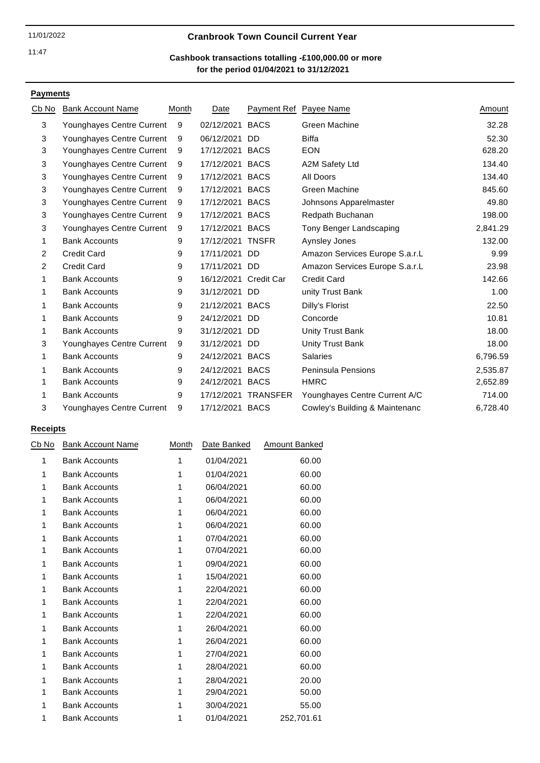# 11/01/2022 **Cranbrook Town Council Current Year**

### **for the period 01/04/2021 to 31/12/2021 Cashbook transactions totalling -£100,000.00 or more**

# **Payments**

| C <u>b No</u> | <b>Bank Account Name</b>  | Month | Date                  |                 | Payment Ref Payee Name         | Amount   |
|---------------|---------------------------|-------|-----------------------|-----------------|--------------------------------|----------|
| 3             | Younghayes Centre Current | 9     | 02/12/2021 BACS       |                 | Green Machine                  | 32.28    |
| 3             | Younghayes Centre Current | 9     | 06/12/2021            | DD              | <b>Biffa</b>                   | 52.30    |
| 3             | Younghayes Centre Current | 9     | 17/12/2021 BACS       |                 | <b>EON</b>                     | 628.20   |
| 3             | Younghayes Centre Current | 9     | 17/12/2021 BACS       |                 | A2M Safety Ltd                 | 134.40   |
| 3             | Younghayes Centre Current | 9     | 17/12/2021 BACS       |                 | All Doors                      | 134.40   |
| 3             | Younghayes Centre Current | 9     | 17/12/2021 BACS       |                 | Green Machine                  | 845.60   |
| 3             | Younghayes Centre Current | 9     | 17/12/2021 BACS       |                 | Johnsons Apparelmaster         | 49.80    |
| 3             | Younghayes Centre Current | 9     | 17/12/2021 BACS       |                 | Redpath Buchanan               | 198.00   |
| 3             | Younghayes Centre Current | 9     | 17/12/2021 BACS       |                 | Tony Benger Landscaping        | 2,841.29 |
| 1             | <b>Bank Accounts</b>      | 9     | 17/12/2021 TNSFR      |                 | Aynsley Jones                  | 132.00   |
| 2             | <b>Credit Card</b>        | 9     | 17/11/2021 DD         |                 | Amazon Services Europe S.a.r.L | 9.99     |
| 2             | <b>Credit Card</b>        | 9     | 17/11/2021 DD         |                 | Amazon Services Europe S.a.r.L | 23.98    |
| 1             | <b>Bank Accounts</b>      | 9     | 16/12/2021 Credit Car |                 | <b>Credit Card</b>             | 142.66   |
| 1             | <b>Bank Accounts</b>      | 9     | 31/12/2021 DD         |                 | unity Trust Bank               | 1.00     |
| 1             | <b>Bank Accounts</b>      | 9     | 21/12/2021 BACS       |                 | Dilly's Florist                | 22.50    |
|               | <b>Bank Accounts</b>      | 9     | 24/12/2021 DD         |                 | Concorde                       | 10.81    |
| 1             | <b>Bank Accounts</b>      | 9     | 31/12/2021 DD         |                 | Unity Trust Bank               | 18.00    |
| 3             | Younghayes Centre Current | 9     | 31/12/2021 DD         |                 | Unity Trust Bank               | 18.00    |
| 1             | <b>Bank Accounts</b>      | 9     | 24/12/2021 BACS       |                 | <b>Salaries</b>                | 6,796.59 |
|               | <b>Bank Accounts</b>      | 9     | 24/12/2021 BACS       |                 | <b>Peninsula Pensions</b>      | 2,535.87 |
|               | <b>Bank Accounts</b>      | 9     | 24/12/2021 BACS       |                 | <b>HMRC</b>                    | 2,652.89 |
|               | <b>Bank Accounts</b>      | 9     | 17/12/2021            | <b>TRANSFER</b> | Younghayes Centre Current A/C  | 714.00   |
| 3             | Younghayes Centre Current | 9     | 17/12/2021 BACS       |                 | Cowley's Building & Maintenanc | 6,728.40 |

| Cb No | <b>Bank Account Name</b> | Month | Date Banked | Amount Banked |
|-------|--------------------------|-------|-------------|---------------|
| 1     | <b>Bank Accounts</b>     | 1     | 01/04/2021  | 60.00         |
| 1     | <b>Bank Accounts</b>     | 1     | 01/04/2021  | 60.00         |
| 1     | <b>Bank Accounts</b>     | 1     | 06/04/2021  | 60.00         |
| 1     | <b>Bank Accounts</b>     | 1     | 06/04/2021  | 60.00         |
| 1     | <b>Bank Accounts</b>     | 1     | 06/04/2021  | 60.00         |
| 1     | <b>Bank Accounts</b>     | 1     | 06/04/2021  | 60.00         |
| 1     | <b>Bank Accounts</b>     | 1     | 07/04/2021  | 60.00         |
| 1     | <b>Bank Accounts</b>     | 1     | 07/04/2021  | 60.00         |
| 1     | <b>Bank Accounts</b>     | 1     | 09/04/2021  | 60.00         |
| 1     | <b>Bank Accounts</b>     | 1     | 15/04/2021  | 60.00         |
| 1     | <b>Bank Accounts</b>     | 1     | 22/04/2021  | 60.00         |
| 1     | <b>Bank Accounts</b>     | 1     | 22/04/2021  | 60.00         |
| 1     | <b>Bank Accounts</b>     | 1     | 22/04/2021  | 60.00         |
| 1     | <b>Bank Accounts</b>     | 1     | 26/04/2021  | 60.00         |
| 1     | <b>Bank Accounts</b>     | 1     | 26/04/2021  | 60.00         |
| 1     | <b>Bank Accounts</b>     | 1     | 27/04/2021  | 60.00         |
| 1     | <b>Bank Accounts</b>     | 1     | 28/04/2021  | 60.00         |
| 1     | <b>Bank Accounts</b>     | 1     | 28/04/2021  | 20.00         |
| 1     | <b>Bank Accounts</b>     | 1     | 29/04/2021  | 50.00         |
| 1     | <b>Bank Accounts</b>     | 1     | 30/04/2021  | 55.00         |
| 1     | <b>Bank Accounts</b>     | 1     | 01/04/2021  | 252,701.61    |
|       |                          |       |             |               |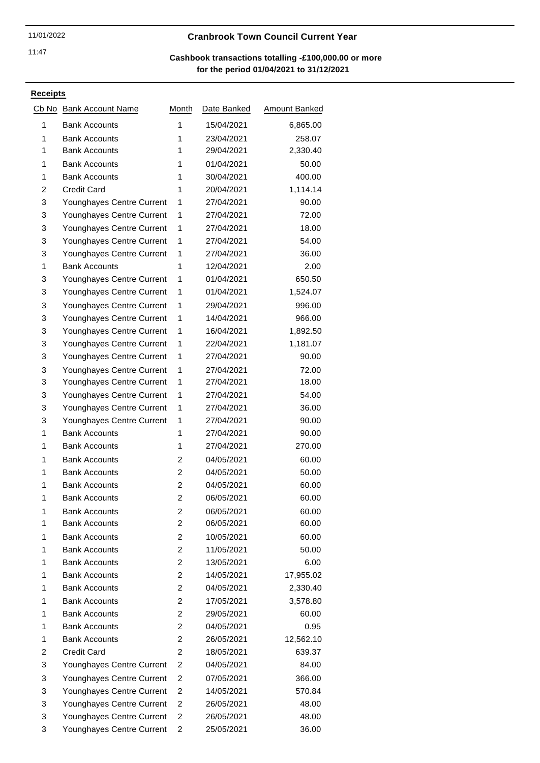# 11/01/2022 **Cranbrook Town Council Current Year**

### **for the period 01/04/2021 to 31/12/2021 Cashbook transactions totalling -£100,000.00 or more**

| Cb No | <b>Bank Account Name</b>  | Month                   | Date Banked | Amount Banked |
|-------|---------------------------|-------------------------|-------------|---------------|
| 1     | <b>Bank Accounts</b>      | 1                       | 15/04/2021  | 6,865.00      |
| 1     | <b>Bank Accounts</b>      | 1                       | 23/04/2021  | 258.07        |
| 1     | <b>Bank Accounts</b>      | 1                       | 29/04/2021  | 2,330.40      |
| 1     | <b>Bank Accounts</b>      | 1                       | 01/04/2021  | 50.00         |
| 1     | <b>Bank Accounts</b>      | 1                       | 30/04/2021  | 400.00        |
| 2     | <b>Credit Card</b>        | 1                       | 20/04/2021  | 1,114.14      |
| 3     | Younghayes Centre Current | 1                       | 27/04/2021  | 90.00         |
| 3     | Younghayes Centre Current | 1                       | 27/04/2021  | 72.00         |
| 3     | Younghayes Centre Current | 1                       | 27/04/2021  | 18.00         |
| 3     | Younghayes Centre Current | 1                       | 27/04/2021  | 54.00         |
| 3     | Younghayes Centre Current | 1                       | 27/04/2021  | 36.00         |
| 1     | <b>Bank Accounts</b>      | 1                       | 12/04/2021  | 2.00          |
| 3     | Younghayes Centre Current | 1                       | 01/04/2021  | 650.50        |
| 3     | Younghayes Centre Current | 1                       | 01/04/2021  | 1,524.07      |
| 3     | Younghayes Centre Current | 1                       | 29/04/2021  | 996.00        |
| 3     | Younghayes Centre Current | 1                       | 14/04/2021  | 966.00        |
| 3     | Younghayes Centre Current | 1                       | 16/04/2021  | 1,892.50      |
| 3     | Younghayes Centre Current | 1                       | 22/04/2021  | 1,181.07      |
| 3     | Younghayes Centre Current | 1                       | 27/04/2021  | 90.00         |
| 3     | Younghayes Centre Current | 1                       | 27/04/2021  | 72.00         |
| 3     | Younghayes Centre Current | 1                       | 27/04/2021  | 18.00         |
| 3     | Younghayes Centre Current | 1                       | 27/04/2021  | 54.00         |
| 3     | Younghayes Centre Current | 1                       | 27/04/2021  | 36.00         |
| 3     | Younghayes Centre Current | 1                       | 27/04/2021  | 90.00         |
| 1     | <b>Bank Accounts</b>      | 1                       | 27/04/2021  | 90.00         |
| 1     | <b>Bank Accounts</b>      | 1                       | 27/04/2021  | 270.00        |
| 1     | <b>Bank Accounts</b>      | 2                       | 04/05/2021  | 60.00         |
| 1     | <b>Bank Accounts</b>      | $\overline{c}$          | 04/05/2021  | 50.00         |
| 1     | <b>Bank Accounts</b>      | $\overline{c}$          | 04/05/2021  | 60.00         |
| 1     | <b>Bank Accounts</b>      | $\overline{c}$          | 06/05/2021  | 60.00         |
| 1     | <b>Bank Accounts</b>      | $\overline{\mathbf{c}}$ | 06/05/2021  | 60.00         |
| 1     | <b>Bank Accounts</b>      | 2                       | 06/05/2021  | 60.00         |
| 1     | <b>Bank Accounts</b>      | 2                       | 10/05/2021  | 60.00         |
| 1     | <b>Bank Accounts</b>      | 2                       | 11/05/2021  | 50.00         |
| 1     | <b>Bank Accounts</b>      | 2                       | 13/05/2021  | 6.00          |
| 1     | <b>Bank Accounts</b>      | 2                       | 14/05/2021  | 17,955.02     |
| 1     | <b>Bank Accounts</b>      | 2                       | 04/05/2021  | 2,330.40      |
| 1     | <b>Bank Accounts</b>      | 2                       | 17/05/2021  | 3,578.80      |
| 1     | <b>Bank Accounts</b>      | $\overline{c}$          | 29/05/2021  | 60.00         |
| 1     | <b>Bank Accounts</b>      | 2                       | 04/05/2021  | 0.95          |
| 1     | <b>Bank Accounts</b>      | 2                       | 26/05/2021  | 12,562.10     |
| 2     | <b>Credit Card</b>        | 2                       | 18/05/2021  | 639.37        |
| 3     | Younghayes Centre Current | 2                       | 04/05/2021  | 84.00         |
| 3     | Younghayes Centre Current | 2                       | 07/05/2021  | 366.00        |
| 3     | Younghayes Centre Current | $\overline{2}$          | 14/05/2021  | 570.84        |
| 3     | Younghayes Centre Current | 2                       | 26/05/2021  | 48.00         |
| 3     | Younghayes Centre Current | 2                       | 26/05/2021  | 48.00         |
| 3     | Younghayes Centre Current | 2                       | 25/05/2021  | 36.00         |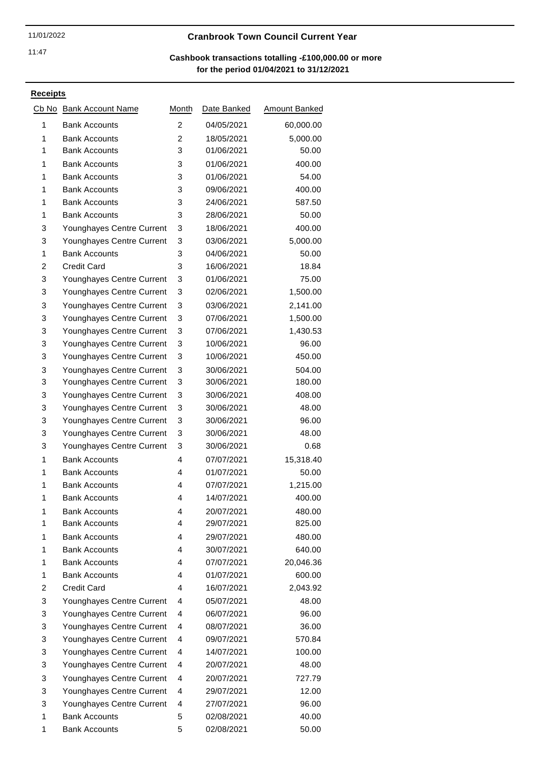# 11/01/2022 **Cranbrook Town Council Current Year**

### **for the period 01/04/2021 to 31/12/2021 Cashbook transactions totalling -£100,000.00 or more**

| Cb No | <b>Bank Account Name</b>  | Month          | Date Banked | <b>Amount Banked</b> |
|-------|---------------------------|----------------|-------------|----------------------|
| 1     | <b>Bank Accounts</b>      | $\overline{c}$ | 04/05/2021  | 60,000.00            |
| 1     | <b>Bank Accounts</b>      | $\overline{c}$ | 18/05/2021  | 5,000.00             |
| 1     | <b>Bank Accounts</b>      | 3              | 01/06/2021  | 50.00                |
| 1     | <b>Bank Accounts</b>      | 3              | 01/06/2021  | 400.00               |
| 1     | <b>Bank Accounts</b>      | 3              | 01/06/2021  | 54.00                |
| 1     | <b>Bank Accounts</b>      | 3              | 09/06/2021  | 400.00               |
| 1     | <b>Bank Accounts</b>      | 3              | 24/06/2021  | 587.50               |
| 1     | <b>Bank Accounts</b>      | 3              | 28/06/2021  | 50.00                |
| 3     | Younghayes Centre Current | 3              | 18/06/2021  | 400.00               |
| 3     | Younghayes Centre Current | 3              | 03/06/2021  | 5,000.00             |
| 1     | <b>Bank Accounts</b>      | 3              | 04/06/2021  | 50.00                |
| 2     | <b>Credit Card</b>        | 3              | 16/06/2021  | 18.84                |
| 3     | Younghayes Centre Current | 3              | 01/06/2021  | 75.00                |
| 3     | Younghayes Centre Current | 3              | 02/06/2021  | 1,500.00             |
| 3     | Younghayes Centre Current | 3              | 03/06/2021  | 2,141.00             |
| 3     | Younghayes Centre Current | 3              | 07/06/2021  | 1,500.00             |
| 3     | Younghayes Centre Current | 3              | 07/06/2021  | 1,430.53             |
| 3     | Younghayes Centre Current | 3              | 10/06/2021  | 96.00                |
| 3     | Younghayes Centre Current | 3              | 10/06/2021  | 450.00               |
| 3     | Younghayes Centre Current | 3              | 30/06/2021  | 504.00               |
| 3     | Younghayes Centre Current | 3              | 30/06/2021  | 180.00               |
| 3     | Younghayes Centre Current | 3              | 30/06/2021  | 408.00               |
| 3     | Younghayes Centre Current | 3              | 30/06/2021  | 48.00                |
| 3     | Younghayes Centre Current | 3              | 30/06/2021  | 96.00                |
| 3     | Younghayes Centre Current | 3              | 30/06/2021  | 48.00                |
| 3     | Younghayes Centre Current | 3              | 30/06/2021  | 0.68                 |
| 1     | <b>Bank Accounts</b>      | 4              | 07/07/2021  | 15,318.40            |
| 1     | <b>Bank Accounts</b>      | 4              | 01/07/2021  | 50.00                |
| 1     | <b>Bank Accounts</b>      | 4              | 07/07/2021  | 1,215.00             |
| 1     | <b>Bank Accounts</b>      | 4              | 14/07/2021  | 400.00               |
| 1     | <b>Bank Accounts</b>      | 4              | 20/07/2021  | 480.00               |
| 1     | <b>Bank Accounts</b>      | 4              | 29/07/2021  | 825.00               |
| 1     | <b>Bank Accounts</b>      | 4              | 29/07/2021  | 480.00               |
| 1     | <b>Bank Accounts</b>      | 4              | 30/07/2021  | 640.00               |
| 1     | <b>Bank Accounts</b>      | 4              | 07/07/2021  | 20,046.36            |
| 1     | <b>Bank Accounts</b>      | 4              | 01/07/2021  | 600.00               |
| 2     | <b>Credit Card</b>        | 4              | 16/07/2021  | 2,043.92             |
| 3     | Younghayes Centre Current | 4              | 05/07/2021  | 48.00                |
| 3     | Younghayes Centre Current | 4              | 06/07/2021  | 96.00                |
| 3     | Younghayes Centre Current | 4              | 08/07/2021  | 36.00                |
| 3     | Younghayes Centre Current | 4              | 09/07/2021  | 570.84               |
| 3     | Younghayes Centre Current | 4              | 14/07/2021  | 100.00               |
| 3     | Younghayes Centre Current | 4              | 20/07/2021  | 48.00                |
| 3     | Younghayes Centre Current | 4              | 20/07/2021  | 727.79               |
| 3     | Younghayes Centre Current | 4              | 29/07/2021  | 12.00                |
| 3     | Younghayes Centre Current | 4              | 27/07/2021  | 96.00                |
| 1     | <b>Bank Accounts</b>      | 5              | 02/08/2021  | 40.00                |
| 1     | <b>Bank Accounts</b>      | 5              | 02/08/2021  | 50.00                |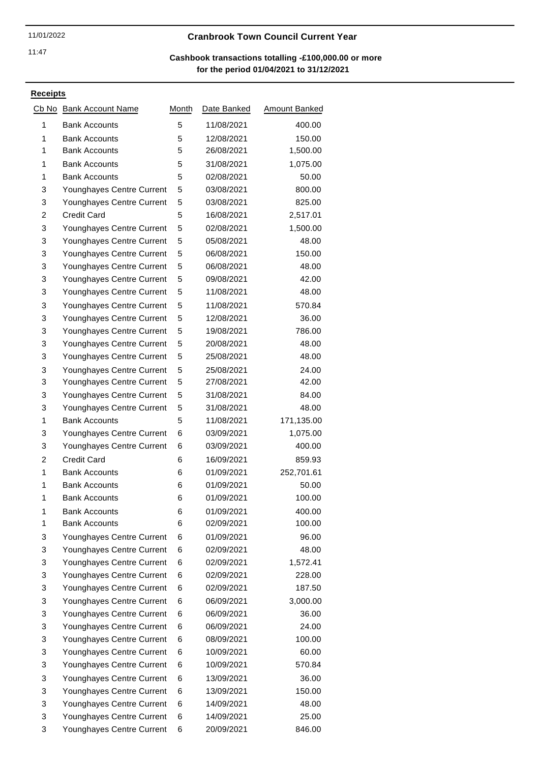# 11/01/2022 **Cranbrook Town Council Current Year**

### **for the period 01/04/2021 to 31/12/2021 Cashbook transactions totalling -£100,000.00 or more**

| Cb No | <b>Bank Account Name</b>  | Month | Date Banked | <b>Amount Banked</b> |
|-------|---------------------------|-------|-------------|----------------------|
| 1     | <b>Bank Accounts</b>      | 5     | 11/08/2021  | 400.00               |
| 1     | <b>Bank Accounts</b>      | 5     | 12/08/2021  | 150.00               |
| 1     | <b>Bank Accounts</b>      | 5     | 26/08/2021  | 1,500.00             |
| 1     | <b>Bank Accounts</b>      | 5     | 31/08/2021  | 1,075.00             |
| 1     | <b>Bank Accounts</b>      | 5     | 02/08/2021  | 50.00                |
| 3     | Younghayes Centre Current | 5     | 03/08/2021  | 800.00               |
| 3     | Younghayes Centre Current | 5     | 03/08/2021  | 825.00               |
| 2     | <b>Credit Card</b>        | 5     | 16/08/2021  | 2,517.01             |
| 3     | Younghayes Centre Current | 5     | 02/08/2021  | 1,500.00             |
| 3     | Younghayes Centre Current | 5     | 05/08/2021  | 48.00                |
| 3     | Younghayes Centre Current | 5     | 06/08/2021  | 150.00               |
| 3     | Younghayes Centre Current | 5     | 06/08/2021  | 48.00                |
| 3     | Younghayes Centre Current | 5     | 09/08/2021  | 42.00                |
| 3     | Younghayes Centre Current | 5     | 11/08/2021  | 48.00                |
| 3     | Younghayes Centre Current | 5     | 11/08/2021  | 570.84               |
| 3     | Younghayes Centre Current | 5     | 12/08/2021  | 36.00                |
| 3     | Younghayes Centre Current | 5     | 19/08/2021  | 786.00               |
| 3     | Younghayes Centre Current | 5     | 20/08/2021  | 48.00                |
| 3     | Younghayes Centre Current | 5     | 25/08/2021  | 48.00                |
| 3     | Younghayes Centre Current | 5     | 25/08/2021  | 24.00                |
| 3     | Younghayes Centre Current | 5     | 27/08/2021  | 42.00                |
| 3     | Younghayes Centre Current | 5     | 31/08/2021  | 84.00                |
| 3     | Younghayes Centre Current | 5     | 31/08/2021  | 48.00                |
| 1     | <b>Bank Accounts</b>      | 5     | 11/08/2021  | 171,135.00           |
| 3     | Younghayes Centre Current | 6     | 03/09/2021  | 1,075.00             |
| 3     | Younghayes Centre Current | 6     | 03/09/2021  | 400.00               |
| 2     | <b>Credit Card</b>        | 6     | 16/09/2021  | 859.93               |
| 1     | <b>Bank Accounts</b>      | 6     | 01/09/2021  | 252,701.61           |
| 1     | <b>Bank Accounts</b>      | 6     | 01/09/2021  | 50.00                |
| 1     | <b>Bank Accounts</b>      | 6     | 01/09/2021  | 100.00               |
| 1     | <b>Bank Accounts</b>      | 6     | 01/09/2021  | 400.00               |
| 1     | <b>Bank Accounts</b>      | 6     | 02/09/2021  | 100.00               |
| 3     | Younghayes Centre Current | 6     | 01/09/2021  | 96.00                |
| 3     | Younghayes Centre Current | 6     | 02/09/2021  | 48.00                |
| 3     | Younghayes Centre Current | 6     | 02/09/2021  | 1,572.41             |
| 3     | Younghayes Centre Current | 6     | 02/09/2021  | 228.00               |
| 3     | Younghayes Centre Current | 6     | 02/09/2021  | 187.50               |
| 3     | Younghayes Centre Current | 6     | 06/09/2021  | 3,000.00             |
| 3     | Younghayes Centre Current | 6     | 06/09/2021  | 36.00                |
| 3     | Younghayes Centre Current | 6     | 06/09/2021  | 24.00                |
| 3     | Younghayes Centre Current | 6     | 08/09/2021  | 100.00               |
| 3     | Younghayes Centre Current | 6     | 10/09/2021  | 60.00                |
| 3     | Younghayes Centre Current | 6     | 10/09/2021  | 570.84               |
| 3     | Younghayes Centre Current | 6     | 13/09/2021  | 36.00                |
| 3     | Younghayes Centre Current | 6     | 13/09/2021  | 150.00               |
| 3     | Younghayes Centre Current | 6     | 14/09/2021  | 48.00                |
| 3     | Younghayes Centre Current | 6     | 14/09/2021  | 25.00                |
| 3     | Younghayes Centre Current | 6     | 20/09/2021  | 846.00               |
|       |                           |       |             |                      |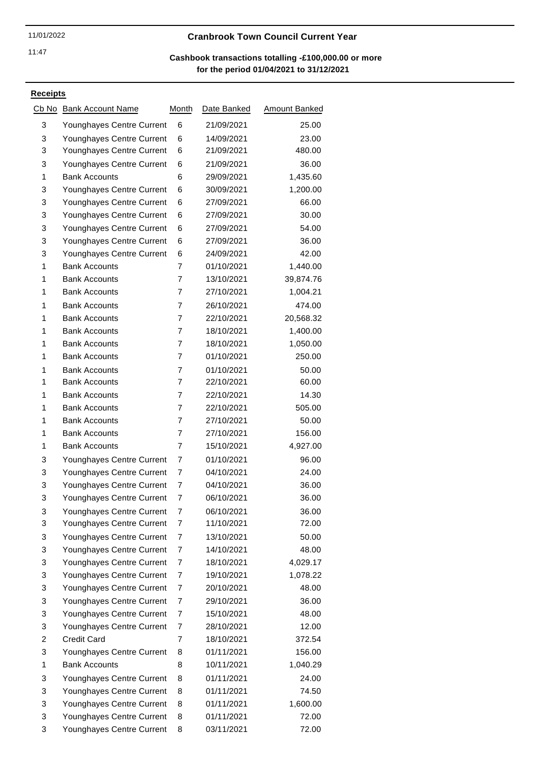# 11/01/2022 **Cranbrook Town Council Current Year**

# **for the period 01/04/2021 to 31/12/2021 Cashbook transactions totalling -£100,000.00 or more**

| Cb No | <b>Bank Account Name</b>  | Month          | Date Banked | Amount Banked |
|-------|---------------------------|----------------|-------------|---------------|
| 3     | Younghayes Centre Current | 6              | 21/09/2021  | 25.00         |
| 3     | Younghayes Centre Current | 6              | 14/09/2021  | 23.00         |
| 3     | Younghayes Centre Current | 6              | 21/09/2021  | 480.00        |
| 3     | Younghayes Centre Current | 6              | 21/09/2021  | 36.00         |
| 1     | <b>Bank Accounts</b>      | 6              | 29/09/2021  | 1,435.60      |
| 3     | Younghayes Centre Current | 6              | 30/09/2021  | 1,200.00      |
| 3     | Younghayes Centre Current | 6              | 27/09/2021  | 66.00         |
| 3     | Younghayes Centre Current | 6              | 27/09/2021  | 30.00         |
| 3     | Younghayes Centre Current | 6              | 27/09/2021  | 54.00         |
| 3     | Younghayes Centre Current | 6              | 27/09/2021  | 36.00         |
| 3     | Younghayes Centre Current | 6              | 24/09/2021  | 42.00         |
| 1     | <b>Bank Accounts</b>      | 7              | 01/10/2021  | 1,440.00      |
| 1     | <b>Bank Accounts</b>      | 7              | 13/10/2021  | 39,874.76     |
| 1     | <b>Bank Accounts</b>      | 7              | 27/10/2021  | 1,004.21      |
| 1     | <b>Bank Accounts</b>      | 7              | 26/10/2021  | 474.00        |
| 1     | <b>Bank Accounts</b>      | 7              | 22/10/2021  | 20,568.32     |
| 1     | <b>Bank Accounts</b>      | 7              | 18/10/2021  | 1,400.00      |
| 1     | <b>Bank Accounts</b>      | 7              | 18/10/2021  | 1,050.00      |
| 1     | <b>Bank Accounts</b>      | $\overline{7}$ | 01/10/2021  | 250.00        |
| 1     | <b>Bank Accounts</b>      | $\overline{7}$ | 01/10/2021  | 50.00         |
| 1     | <b>Bank Accounts</b>      | 7              | 22/10/2021  | 60.00         |
| 1     | <b>Bank Accounts</b>      | 7              | 22/10/2021  | 14.30         |
| 1     | <b>Bank Accounts</b>      | 7              | 22/10/2021  | 505.00        |
| 1     | <b>Bank Accounts</b>      | 7              | 27/10/2021  | 50.00         |
| 1     | <b>Bank Accounts</b>      | 7              | 27/10/2021  | 156.00        |
| 1     | <b>Bank Accounts</b>      | 7              | 15/10/2021  | 4,927.00      |
| 3     | Younghayes Centre Current | 7              | 01/10/2021  | 96.00         |
| 3     | Younghayes Centre Current | 7              | 04/10/2021  | 24.00         |
| 3     | Younghayes Centre Current | 7              | 04/10/2021  | 36.00         |
| 3     | Younghayes Centre Current | 7              | 06/10/2021  | 36.00         |
| 3     | Younghayes Centre Current | 7              | 06/10/2021  | 36.00         |
| 3     | Younghayes Centre Current | 7              | 11/10/2021  | 72.00         |
| 3     | Younghayes Centre Current | 7              | 13/10/2021  | 50.00         |
| 3     | Younghayes Centre Current | 7              | 14/10/2021  | 48.00         |
| 3     | Younghayes Centre Current | 7              | 18/10/2021  | 4,029.17      |
| 3     | Younghayes Centre Current | 7              | 19/10/2021  | 1,078.22      |
| 3     | Younghayes Centre Current | 7              | 20/10/2021  | 48.00         |
| 3     | Younghayes Centre Current | 7              | 29/10/2021  | 36.00         |
| 3     | Younghayes Centre Current | 7              | 15/10/2021  | 48.00         |
| 3     | Younghayes Centre Current | 7              | 28/10/2021  | 12.00         |
| 2     | <b>Credit Card</b>        | 7              | 18/10/2021  | 372.54        |
| 3     | Younghayes Centre Current | 8              | 01/11/2021  | 156.00        |
| 1     | <b>Bank Accounts</b>      | 8              | 10/11/2021  | 1,040.29      |
| 3     | Younghayes Centre Current | 8              | 01/11/2021  | 24.00         |
| 3     | Younghayes Centre Current | 8              | 01/11/2021  | 74.50         |
| 3     | Younghayes Centre Current | 8              | 01/11/2021  | 1,600.00      |
| 3     | Younghayes Centre Current | 8              | 01/11/2021  | 72.00         |
| 3     | Younghayes Centre Current | 8              | 03/11/2021  | 72.00         |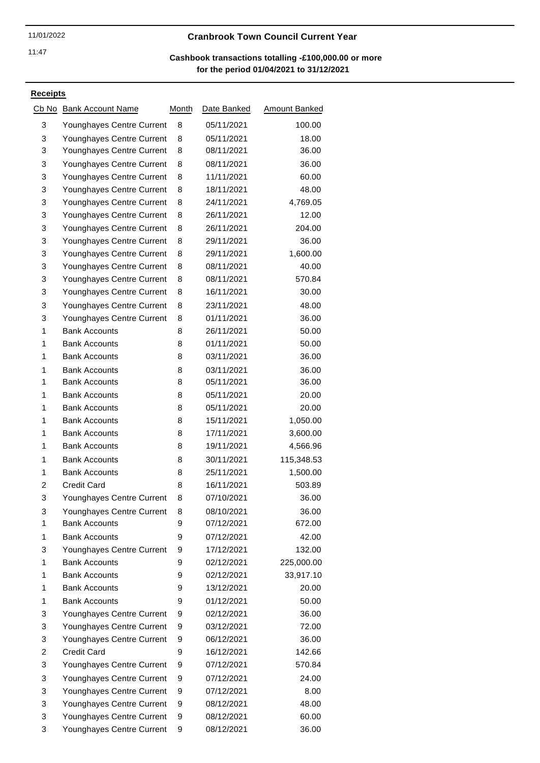# 11/01/2022 **Cranbrook Town Council Current Year**

# **for the period 01/04/2021 to 31/12/2021 Cashbook transactions totalling -£100,000.00 or more**

| Cb No | <b>Bank Account Name</b>  | Month | Date Banked | <b>Amount Banked</b> |
|-------|---------------------------|-------|-------------|----------------------|
| 3     | Younghayes Centre Current | 8     | 05/11/2021  | 100.00               |
| 3     | Younghayes Centre Current | 8     | 05/11/2021  | 18.00                |
| 3     | Younghayes Centre Current | 8     | 08/11/2021  | 36.00                |
| 3     | Younghayes Centre Current | 8     | 08/11/2021  | 36.00                |
| 3     | Younghayes Centre Current | 8     | 11/11/2021  | 60.00                |
| 3     | Younghayes Centre Current | 8     | 18/11/2021  | 48.00                |
| 3     | Younghayes Centre Current | 8     | 24/11/2021  | 4,769.05             |
| 3     | Younghayes Centre Current | 8     | 26/11/2021  | 12.00                |
| 3     | Younghayes Centre Current | 8     | 26/11/2021  | 204.00               |
| 3     | Younghayes Centre Current | 8     | 29/11/2021  | 36.00                |
| 3     | Younghayes Centre Current | 8     | 29/11/2021  | 1,600.00             |
| 3     | Younghayes Centre Current | 8     | 08/11/2021  | 40.00                |
| 3     | Younghayes Centre Current | 8     | 08/11/2021  | 570.84               |
| 3     | Younghayes Centre Current | 8     | 16/11/2021  | 30.00                |
| 3     | Younghayes Centre Current | 8     | 23/11/2021  | 48.00                |
| 3     | Younghayes Centre Current | 8     | 01/11/2021  | 36.00                |
| 1     | <b>Bank Accounts</b>      | 8     | 26/11/2021  | 50.00                |
| 1     | <b>Bank Accounts</b>      | 8     | 01/11/2021  | 50.00                |
| 1     | <b>Bank Accounts</b>      | 8     | 03/11/2021  | 36.00                |
| 1     | <b>Bank Accounts</b>      | 8     | 03/11/2021  | 36.00                |
| 1     | <b>Bank Accounts</b>      | 8     | 05/11/2021  | 36.00                |
| 1     | <b>Bank Accounts</b>      | 8     | 05/11/2021  | 20.00                |
| 1     | <b>Bank Accounts</b>      | 8     | 05/11/2021  | 20.00                |
| 1     | <b>Bank Accounts</b>      | 8     | 15/11/2021  | 1,050.00             |
| 1     | <b>Bank Accounts</b>      | 8     | 17/11/2021  | 3,600.00             |
| 1     | <b>Bank Accounts</b>      | 8     | 19/11/2021  | 4,566.96             |
| 1     | <b>Bank Accounts</b>      | 8     | 30/11/2021  | 115,348.53           |
| 1     | <b>Bank Accounts</b>      | 8     | 25/11/2021  | 1,500.00             |
| 2     | <b>Credit Card</b>        | 8     | 16/11/2021  | 503.89               |
| 3     | Younghayes Centre Current | 8     | 07/10/2021  | 36.00                |
| 3     | Younghayes Centre Current | 8     | 08/10/2021  | 36.00                |
| 1     | <b>Bank Accounts</b>      | 9     | 07/12/2021  | 672.00               |
| 1     | <b>Bank Accounts</b>      | 9     | 07/12/2021  | 42.00                |
| 3     | Younghayes Centre Current | 9     | 17/12/2021  | 132.00               |
| 1     | <b>Bank Accounts</b>      | 9     | 02/12/2021  | 225,000.00           |
| 1     | <b>Bank Accounts</b>      | 9     | 02/12/2021  | 33,917.10            |
| 1     | <b>Bank Accounts</b>      | 9     | 13/12/2021  | 20.00                |
| 1     | <b>Bank Accounts</b>      | 9     | 01/12/2021  | 50.00                |
| 3     | Younghayes Centre Current | 9     | 02/12/2021  | 36.00                |
| 3     | Younghayes Centre Current | 9     | 03/12/2021  | 72.00                |
| 3     | Younghayes Centre Current | 9     | 06/12/2021  | 36.00                |
| 2     | <b>Credit Card</b>        | 9     | 16/12/2021  | 142.66               |
| 3     | Younghayes Centre Current | 9     | 07/12/2021  | 570.84               |
| 3     | Younghayes Centre Current | 9     | 07/12/2021  | 24.00                |
| 3     | Younghayes Centre Current | 9     | 07/12/2021  | 8.00                 |
| 3     | Younghayes Centre Current | 9     | 08/12/2021  | 48.00                |
| 3     | Younghayes Centre Current | 9     | 08/12/2021  | 60.00                |
| 3     | Younghayes Centre Current | 9     | 08/12/2021  | 36.00                |